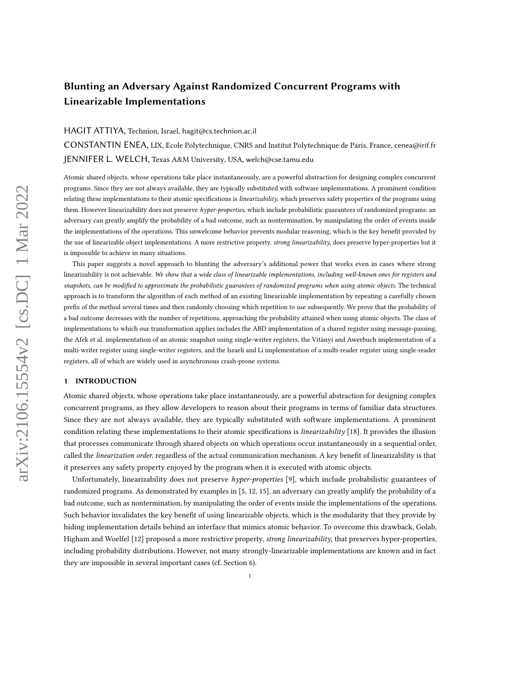# Blunting an Adversary Against Randomized Concurrent Programs with Linearizable Implementations

## HAGIT ATTIYA, Technion, Israel, hagit@cs.technion.ac.il

CONSTANTIN ENEA, LIX, Ecole Polytechnique, CNRS and Institut Polytechnique de Paris, France, cenea@irif.fr JENNIFER L. WELCH, Texas A&M University, USA, welch@cse.tamu.edu

Atomic shared objects, whose operations take place instantaneously, are a powerful abstraction for designing complex concurrent programs. Since they are not always available, they are typically substituted with software implementations. A prominent condition relating these implementations to their atomic specifications is linearizability, which preserves safety properties of the programs using them. However linearizability does not preserve hyper-properties, which include probabilistic guarantees of randomized programs: an adversary can greatly amplify the probability of a bad outcome, such as nontermination, by manipulating the order of events inside the implementations of the operations. This unwelcome behavior prevents modular reasoning, which is the key benefit provided by the use of linearizable object implementations. A more restrictive property, strong linearizability, does preserve hyper-properties but it is impossible to achieve in many situations.

This paper suggests a novel approach to blunting the adversary's additional power that works even in cases where strong linearizability is not achievable. We show that a wide class of linearizable implementations, including well-known ones for registers and snapshots, can be modified to approximate the probabilistic guarantees of randomized programs when using atomic objects. The technical approach is to transform the algorithm of each method of an existing linearizable implementation by repeating a carefully chosen prefix of the method several times and then randomly choosing which repetition to use subsequently. We prove that the probability of a bad outcome decreases with the number of repetitions, approaching the probability attained when using atomic objects. The class of implementations to which our transformation applies includes the ABD implementation of a shared register using message-passing, the Afek et al. implementation of an atomic snapshot using single-writer registers, the Vitányi and Awerbuch implementation of a multi-writer register using single-writer registers, and the Israeli and Li implementation of a multi-reader register using single-reader registers, all of which are widely used in asynchronous crash-prone systems.

## <span id="page-0-0"></span>1 INTRODUCTION

Atomic shared objects, whose operations take place instantaneously, are a powerful abstraction for designing complex concurrent programs, as they allow developers to reason about their programs in terms of familiar data structures. Since they are not always available, they are typically substituted with software implementations. A prominent condition relating these implementations to their atomic specifications is linearizability [\[18\]](#page-15-0). It provides the illusion that processes communicate through shared objects on which operations occur instantaneously in a sequential order, called the linearization order, regardless of the actual communication mechanism. A key benefit of linearizability is that it preserves any safety property enjoyed by the program when it is executed with atomic objects.

Unfortunately, linearizability does not preserve hyper-properties [\[9\]](#page-15-1), which include probabilistic guarantees of randomized programs. As demonstrated by examples in [\[5,](#page-15-2) [12,](#page-15-3) [15\]](#page-15-4), an adversary can greatly amplify the probability of a bad outcome, such as nontermination, by manipulating the order of events inside the implementations of the operations. Such behavior invalidates the key benefit of using linearizable objects, which is the modularity that they provide by hiding implementation details behind an interface that mimics atomic behavior. To overcome this drawback, Golab, Higham and Woelfel [\[12\]](#page-15-3) proposed a more restrictive property, *strong linearizability*, that preserves hyper-properties, including probability distributions. However, not many strongly-linearizable implementations are known and in fact they are impossible in several important cases (cf. Section [6\)](#page-13-0).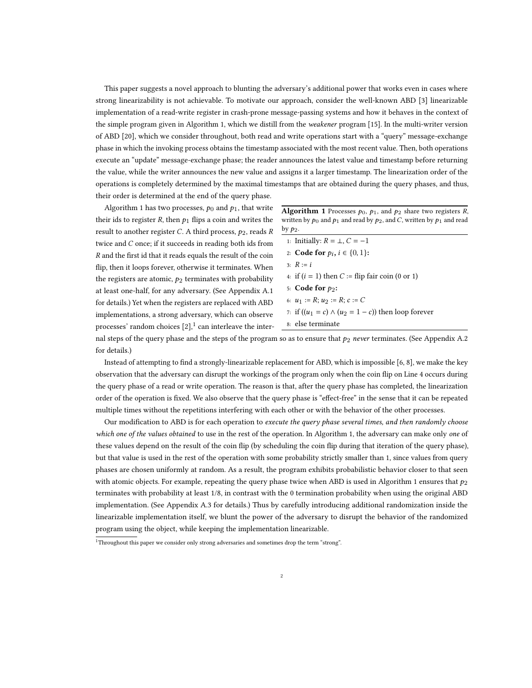This paper suggests a novel approach to blunting the adversary's additional power that works even in cases where strong linearizability is not achievable. To motivate our approach, consider the well-known ABD [\[3\]](#page-15-5) linearizable implementation of a read-write register in crash-prone message-passing systems and how it behaves in the context of the simple program given in Algorithm [1,](#page-1-0) which we distill from the weakener program [\[15\]](#page-15-4). In the multi-writer version of ABD [\[20\]](#page-15-6), which we consider throughout, both read and write operations start with a "query" message-exchange phase in which the invoking process obtains the timestamp associated with the most recent value. Then, both operations execute an "update" message-exchange phase; the reader announces the latest value and timestamp before returning the value, while the writer announces the new value and assigns it a larger timestamp. The linearization order of the operations is completely determined by the maximal timestamps that are obtained during the query phases, and thus, their order is determined at the end of the query phase.

Algorithm [1](#page-1-0) has two processes,  $p_0$  and  $p_1$ , that write their ids to register  $R$ , then  $p_1$  flips a coin and writes the result to another register C. A third process,  $p_2$ , reads R twice and  $C$  once; if it succeeds in reading both ids from  $R$  and the first id that it reads equals the result of the coin flip, then it loops forever, otherwise it terminates. When the registers are atomic,  $p_2$  terminates with probability at least one-half, for any adversary. (See Appendix [A.1](#page-16-0) for details.) Yet when the registers are replaced with ABD implementations, a strong adversary, which can observe processes' random choices  $[2]$ ,  $\frac{1}{2}$  $\frac{1}{2}$  $\frac{1}{2}$  can interleave the inter-

<span id="page-1-0"></span>**Algorithm 1** Processes  $p_0$ ,  $p_1$ , and  $p_2$  share two registers R, written by  $p_0$  and  $p_1$  and read by  $p_2$ , and C, written by  $p_1$  and read by  $p_2$ .

<span id="page-1-3"></span><span id="page-1-2"></span>

| 1: Initially: $R = \perp$ , $C = -1$                       |
|------------------------------------------------------------|
| 2: <b>Code for</b> $p_i$ , $i \in \{0, 1\}$ :              |
| 3: $R := i$                                                |
| 4: if $(i = 1)$ then $C :=$ flip fair coin (0 or 1)        |
| 5: Code for $p_2$ :                                        |
| 6: $u_1 := R$ ; $u_2 := R$ ; $c := C$                      |
| 7: if $((u_1 = c) \wedge (u_2 = 1 - c))$ then loop forever |
| 8: else terminate                                          |

nal steps of the query phase and the steps of the program so as to ensure that  $p_2$  never terminates. (See Appendix [A.2](#page-17-0) for details.)

Instead of attempting to find a strongly-linearizable replacement for ABD, which is impossible [\[6,](#page-15-8) [8\]](#page-15-9), we make the key observation that the adversary can disrupt the workings of the program only when the coin flip on Line [4](#page-1-2) occurs during the query phase of a read or write operation. The reason is that, after the query phase has completed, the linearization order of the operation is fixed. We also observe that the query phase is "effect-free" in the sense that it can be repeated multiple times without the repetitions interfering with each other or with the behavior of the other processes.

Our modification to ABD is for each operation to execute the query phase several times, and then randomly choose which one of the values obtained to use in the rest of the operation. In Algorithm [1,](#page-1-0) the adversary can make only one of these values depend on the result of the coin flip (by scheduling the coin flip during that iteration of the query phase), but that value is used in the rest of the operation with some probability strictly smaller than 1, since values from query phases are chosen uniformly at random. As a result, the program exhibits probabilistic behavior closer to that seen with atomic objects. For example, repeating the query phase twice when ABD is used in Algorithm [1](#page-1-0) ensures that  $p_2$ terminates with probability at least 1/8, in contrast with the 0 termination probability when using the original ABD implementation. (See Appendix [A.3](#page-18-0) for details.) Thus by carefully introducing additional randomization inside the linearizable implementation itself, we blunt the power of the adversary to disrupt the behavior of the randomized program using the object, while keeping the implementation linearizable.

<span id="page-1-1"></span><sup>1</sup>Throughout this paper we consider only strong adversaries and sometimes drop the term "strong".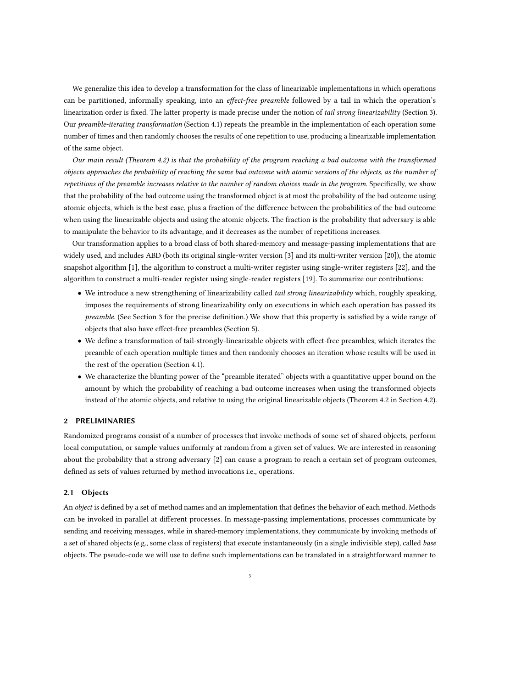We generalize this idea to develop a transformation for the class of linearizable implementations in which operations can be partitioned, informally speaking, into an *effect-free preamble* followed by a tail in which the operation's linearization order is fixed. The latter property is made precise under the notion of tail strong linearizability (Section [3\)](#page-5-0). Our preamble-iterating transformation (Section [4.1\)](#page-6-0) repeats the preamble in the implementation of each operation some number of times and then randomly chooses the results of one repetition to use, producing a linearizable implementation of the same object.

Our main result (Theorem [4.2\)](#page-8-0) is that the probability of the program reaching a bad outcome with the transformed objects approaches the probability of reaching the same bad outcome with atomic versions of the objects, as the number of repetitions of the preamble increases relative to the number of random choices made in the program. Specifically, we show that the probability of the bad outcome using the transformed object is at most the probability of the bad outcome using atomic objects, which is the best case, plus a fraction of the difference between the probabilities of the bad outcome when using the linearizable objects and using the atomic objects. The fraction is the probability that adversary is able to manipulate the behavior to its advantage, and it decreases as the number of repetitions increases.

Our transformation applies to a broad class of both shared-memory and message-passing implementations that are widely used, and includes ABD (both its original single-writer version [\[3\]](#page-15-5) and its multi-writer version [\[20\]](#page-15-6)), the atomic snapshot algorithm [\[1\]](#page-15-10), the algorithm to construct a multi-writer register using single-writer registers [\[22\]](#page-15-11), and the algorithm to construct a multi-reader register using single-reader registers [\[19\]](#page-15-12). To summarize our contributions:

- We introduce a new strengthening of linearizability called *tail strong linearizability* which, roughly speaking, imposes the requirements of strong linearizability only on executions in which each operation has passed its preamble. (See Section [3](#page-5-0) for the precise definition.) We show that this property is satisfied by a wide range of objects that also have effect-free preambles (Section [5\)](#page-11-0).
- We define a transformation of tail-strongly-linearizable objects with effect-free preambles, which iterates the preamble of each operation multiple times and then randomly chooses an iteration whose results will be used in the rest of the operation (Section [4.1\)](#page-6-0).
- We characterize the blunting power of the "preamble iterated" objects with a quantitative upper bound on the amount by which the probability of reaching a bad outcome increases when using the transformed objects instead of the atomic objects, and relative to using the original linearizable objects (Theorem [4.2](#page-8-0) in Section [4.2\)](#page-7-0).

#### 2 PRELIMINARIES

Randomized programs consist of a number of processes that invoke methods of some set of shared objects, perform local computation, or sample values uniformly at random from a given set of values. We are interested in reasoning about the probability that a strong adversary [\[2\]](#page-15-7) can cause a program to reach a certain set of program outcomes, defined as sets of values returned by method invocations i.e., operations.

#### 2.1 Objects

An object is defined by a set of method names and an implementation that defines the behavior of each method. Methods can be invoked in parallel at different processes. In message-passing implementations, processes communicate by sending and receiving messages, while in shared-memory implementations, they communicate by invoking methods of a set of shared objects (e.g., some class of registers) that execute instantaneously (in a single indivisible step), called base objects. The pseudo-code we will use to define such implementations can be translated in a straightforward manner to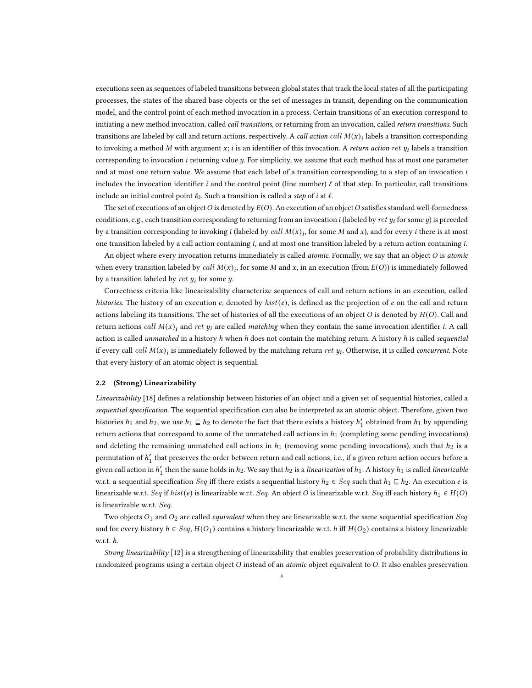executions seen as sequences of labeled transitions between global states that track the local states of all the participating processes, the states of the shared base objects or the set of messages in transit, depending on the communication model, and the control point of each method invocation in a process. Certain transitions of an execution correspond to initiating a new method invocation, called call transitions, or returning from an invocation, called return transitions. Such transitions are labeled by call and return actions, respectively. A *call action call*  $M(x)_i$  labels a transition corresponding to invoking a method M with argument  $x$ ; *i* is an identifier of this invocation. A return action ret  $y_i$  labels a transition corresponding to invocation  $i$  returning value  $y$ . For simplicity, we assume that each method has at most one parameter and at most one return value. We assume that each label of a transition corresponding to a step of an invocation i includes the invocation identifier *i* and the control point (line number)  $\ell$  of that step. In particular, call transitions include an initial control point  $\ell_0$ . Such a transition is called a step of  $i$  at  $\ell$ .

The set of executions of an object O is denoted by  $E(O)$ . An execution of an object O satisfies standard well-formedness conditions, e.g., each transition corresponding to returning from an invocation *i* (labeled by ret  $y_i$  for some  $y$ ) is preceded by a transition corresponding to invoking *i* (labeled by *call*  $M(x)_i$ , for some M and x), and for every *i* there is at most one transition labeled by a call action containing  $i$ , and at most one transition labeled by a return action containing  $i$ .

An object where every invocation returns immediately is called atomic. Formally, we say that an object O is atomic when every transition labeled by call  $M(x)_i$ , for some M and x, in an execution (from  $E(O)$ ) is immediately followed by a transition labeled by ret  $y_i$  for some  $y$ .

Correctness criteria like linearizability characterize sequences of call and return actions in an execution, called histories. The history of an execution  $e$ , denoted by  $hist(e)$ , is defined as the projection of  $e$  on the call and return actions labeling its transitions. The set of histories of all the executions of an object  $O$  is denoted by  $H(O)$ . Call and return actions *call*  $M(x)$ <sub>i</sub> and ret  $y_i$  are called matching when they contain the same invocation identifier *i*. A call action is called unmatched in a history h when h does not contain the matching return. A history h is called sequential if every call call  $M(x)_i$  is immediately followed by the matching return ret  $y_i$ . Otherwise, it is called concurrent. Note that every history of an atomic object is sequential.

#### 2.2 (Strong) Linearizability

Linearizability [\[18\]](#page-15-0) defines a relationship between histories of an object and a given set of sequential histories, called a sequential specification. The sequential specification can also be interpreted as an atomic object. Therefore, given two histories  $h_1$  and  $h_2$ , we use  $h_1 \sqsubseteq h_2$  to denote the fact that there exists a history  $h'_1$  obtained from  $h_1$  by appending return actions that correspond to some of the unmatched call actions in  $h_1$  (completing some pending invocations) and deleting the remaining unmatched call actions in  $h_1$  (removing some pending invocations), such that  $h_2$  is a permutation of  $h'_1$  that preserves the order between return and call actions, i.e., if a given return action occurs before a given call action in  $h'_1$  then the same holds in  $h_2$ . We say that  $h_2$  is a *linearization* of  $h_1$ . A history  $h_1$  is called *linearizable* w.r.t. a sequential specification  $Seq$  iff there exists a sequential history  $h_2 \in Seq$  such that  $h_1 \sqsubseteq h_2$ . An execution  $e$  is linearizable w.r.t. Seq if hist(e) is linearizable w.r.t. Seq. An object O is linearizable w.r.t. Seq iff each history  $h_1 \in H(O)$ is linearizable w.r.t. Seq.

Two objects  $O_1$  and  $O_2$  are called *equivalent* when they are linearizable w.r.t. the same sequential specification Seq and for every history  $h \in Seq$ ,  $H(O_1)$  contains a history linearizable w.r.t.  $h$  iff  $H(O_2)$  contains a history linearizable w.r.t. ℎ.

Strong linearizability [\[12\]](#page-15-3) is a strengthening of linearizability that enables preservation of probability distributions in randomized programs using a certain object O instead of an atomic object equivalent to O. It also enables preservation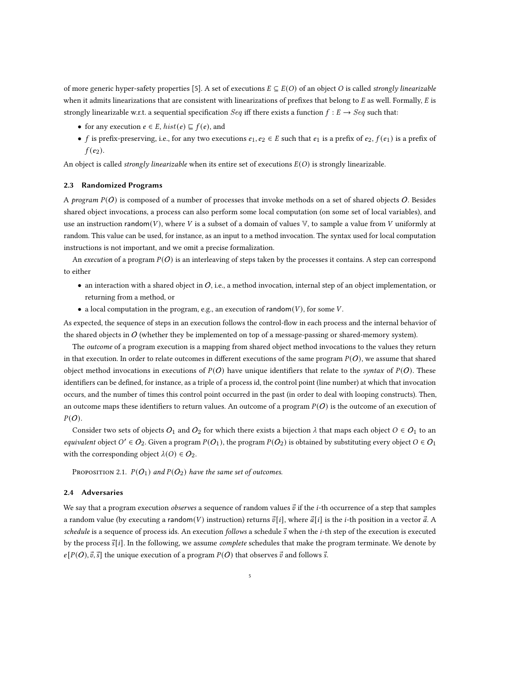of more generic hyper-safety properties [\[5\]](#page-15-2). A set of executions  $E \subseteq E(O)$  of an object O is called strongly linearizable when it admits linearizations that are consistent with linearizations of prefixes that belong to  $E$  as well. Formally,  $E$  is strongly linearizable w.r.t. a sequential specification Seq iff there exists a function  $f : E \to Seq$  such that:

- for any execution  $e \in E$ ,  $hist(e) \sqsubseteq f(e)$ , and
- *f* is prefix-preserving, i.e., for any two executions  $e_1, e_2 \in E$  such that  $e_1$  is a prefix of  $e_2, f(e_1)$  is a prefix of  $f(e_2)$ .

An object is called *strongly linearizable* when its entire set of executions  $E(O)$  is strongly linearizable.

#### 2.3 Randomized Programs

A program  $P(O)$  is composed of a number of processes that invoke methods on a set of shared objects O. Besides shared object invocations, a process can also perform some local computation (on some set of local variables), and use an instruction random(V), where V is a subset of a domain of values  $V$ , to sample a value from V uniformly at random. This value can be used, for instance, as an input to a method invocation. The syntax used for local computation instructions is not important, and we omit a precise formalization.

An execution of a program  $P(O)$  is an interleaving of steps taken by the processes it contains. A step can correspond to either

- $\bullet$  an interaction with a shared object in O, i.e., a method invocation, internal step of an object implementation, or returning from a method, or
- a local computation in the program, e.g., an execution of random( $V$ ), for some  $V$ .

As expected, the sequence of steps in an execution follows the control-flow in each process and the internal behavior of the shared objects in  $O$  (whether they be implemented on top of a message-passing or shared-memory system).

The *outcome* of a program execution is a mapping from shared object method invocations to the values they return in that execution. In order to relate outcomes in different executions of the same program  $P(O)$ , we assume that shared object method invocations in executions of  $P(O)$  have unique identifiers that relate to the syntax of  $P(O)$ . These identifiers can be defined, for instance, as a triple of a process id, the control point (line number) at which that invocation occurs, and the number of times this control point occurred in the past (in order to deal with looping constructs). Then, an outcome maps these identifiers to return values. An outcome of a program  $P(O)$  is the outcome of an execution of  $P(O)$ .

Consider two sets of objects  $O_1$  and  $O_2$  for which there exists a bijection  $\lambda$  that maps each object  $O \in O_1$  to an equivalent object  $O' \in O_2$ . Given a program  $P(O_1)$ , the program  $P(O_2)$  is obtained by substituting every object  $O \in O_1$ with the corresponding object  $\lambda(O) \in O_2$ .

PROPOSITION 2.1.  $P(O_1)$  and  $P(O_2)$  have the same set of outcomes.

## 2.4 Adversaries

We say that a program execution *observes* a sequence of random values  $\vec{v}$  if the *i*-th occurrence of a step that samples a random value (by executing a random(V) instruction) returns  $\vec{v}[i]$ , where  $\vec{a}[i]$  is the *i*-th position in a vector  $\vec{a}$ . A schedule is a sequence of process ids. An execution follows a schedule  $\vec{s}$  when the *i*-th step of the execution is executed by the process  $\vec{s}[i]$ . In the following, we assume *complete* schedules that make the program terminate. We denote by  $e[P(O), \vec{v}, \vec{s}]$  the unique execution of a program  $P(O)$  that observes  $\vec{v}$  and follows  $\vec{s}$ .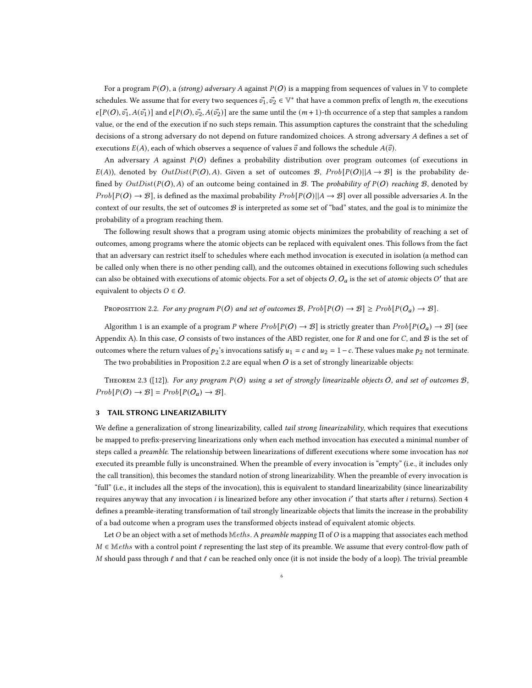For a program  $P(O)$ , a (strong) adversary A against  $P(O)$  is a mapping from sequences of values in V to complete schedules. We assume that for every two sequences  $\vec{v_1},\vec{v_2}\in V^*$  that have a common prefix of length m, the executions  $e[P(O),\vec{v_1},A(\vec{v_1})]$  and  $e[P(O),\vec{v_2},A(\vec{v_2})]$  are the same until the  $(m+1)$ -th occurrence of a step that samples a random value, or the end of the execution if no such steps remain. This assumption captures the constraint that the scheduling decisions of a strong adversary do not depend on future randomized choices. A strong adversary A defines a set of executions  $E(A)$ , each of which observes a sequence of values  $\vec{v}$  and follows the schedule  $A(\vec{v})$ .

An adversary A against  $P(O)$  defines a probability distribution over program outcomes (of executions in  $E(A)$ ), denoted by  $OutDist(P(O), A)$ . Given a set of outcomes B,  $Prob[P(O)||A \rightarrow B]$  is the probability defined by  $OutDist(P(O), A)$  of an outcome being contained in B. The probability of  $P(O)$  reaching B, denoted by  $Prob[P(O) \rightarrow \mathcal{B}]$ , is defined as the maximal probability  $Prob[P(O)||A \rightarrow \mathcal{B}]$  over all possible adversaries A. In the context of our results, the set of outcomes  $\mathcal B$  is interpreted as some set of "bad" states, and the goal is to minimize the probability of a program reaching them.

The following result shows that a program using atomic objects minimizes the probability of reaching a set of outcomes, among programs where the atomic objects can be replaced with equivalent ones. This follows from the fact that an adversary can restrict itself to schedules where each method invocation is executed in isolation (a method can be called only when there is no other pending call), and the outcomes obtained in executions following such schedules can also be obtained with executions of atomic objects. For a set of objects  $O$ ,  $O_a$  is the set of atomic objects  $O'$  that are equivalent to objects  $O \in O$ .

<span id="page-5-1"></span>PROPOSITION 2.2. For any program  $P(O)$  and set of outcomes B,  $Prob[P(O) \rightarrow B] \ge Prob[P(O_a) \rightarrow B]$ .

Algorithm [1](#page-1-0) is an example of a program P where  $Prob[P(O) \rightarrow \mathcal{B}]$  is strictly greater than  $Prob[P(O_a) \rightarrow \mathcal{B}]$  (see Appendix [A\)](#page-16-1). In this case, O consists of two instances of the ABD register, one for  $R$  and one for  $C$ , and  $B$  is the set of outcomes where the return values of  $p_2$ 's invocations satisfy  $u_1 = c$  and  $u_2 = 1 - c$ . These values make  $p_2$  not terminate. The two probabilities in Proposition [2.2](#page-5-1) are equal when  $O$  is a set of strongly linearizable objects:

<span id="page-5-2"></span>THEOREM 2.3 ([\[12\]](#page-15-3)). For any program  $P(O)$  using a set of strongly linearizable objects O, and set of outcomes  $B$ ,  $Prob[P(O) \rightarrow B] = Prob[P(O_a) \rightarrow B].$ 

## <span id="page-5-0"></span>3 TAIL STRONG LINEARIZABILITY

We define a generalization of strong linearizability, called tail strong linearizability, which requires that executions be mapped to prefix-preserving linearizations only when each method invocation has executed a minimal number of steps called a *preamble*. The relationship between linearizations of different executions where some invocation has not executed its preamble fully is unconstrained. When the preamble of every invocation is "empty" (i.e., it includes only the call transition), this becomes the standard notion of strong linearizability. When the preamble of every invocation is "full" (i.e., it includes all the steps of the invocation), this is equivalent to standard linearizability (since linearizability requires anyway that any invocation *i* is linearized before any other invocation *i'* that starts after *i* returns). Section [4](#page-6-1) defines a preamble-iterating transformation of tail strongly linearizable objects that limits the increase in the probability of a bad outcome when a program uses the transformed objects instead of equivalent atomic objects.

Let O be an object with a set of methods Meths. A preamble mapping Π of O is a mapping that associates each method  $M \in \mathbb{M}$ eths with a control point  $\ell$  representing the last step of its preamble. We assume that every control-flow path of M should pass through  $\ell$  and that  $\ell$  can be reached only once (it is not inside the body of a loop). The trivial preamble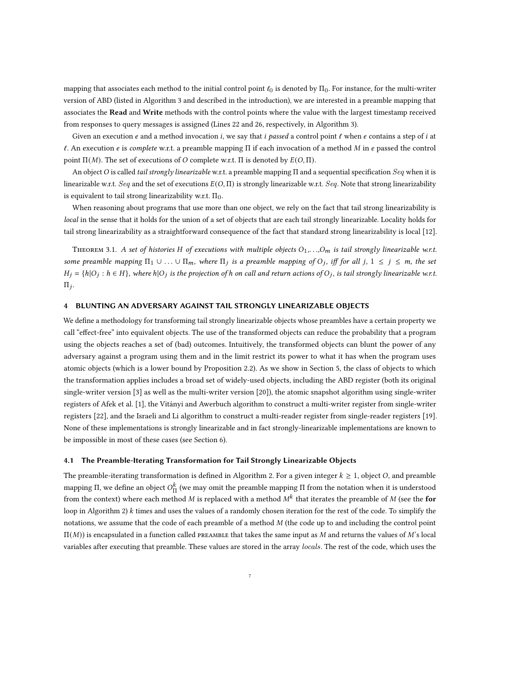mapping that associates each method to the initial control point  $\ell_0$  is denoted by  $\Pi_0$ . For instance, for the multi-writer version of ABD (listed in Algorithm [3](#page-16-2) and described in the introduction), we are interested in a preamble mapping that associates the Read and Write methods with the control points where the value with the largest timestamp received from responses to query messages is assigned (Lines [22](#page-16-3) and [26,](#page-16-4) respectively, in Algorithm [3\)](#page-16-2).

Given an execution  $e$  and a method invocation i, we say that i passed a control point  $\ell$  when  $e$  contains a step of i at  $\ell$ . An execution *e* is *complete* w.r.t. a preamble mapping Π if each invocation of a method M in *e* passed the control point  $\Pi(M)$ . The set of executions of *O* complete w.r.t. Π is denoted by  $E(O, \Pi)$ .

An object O is called *tail strongly linearizable* w.r.t. a preamble mapping Π and a sequential specification Seq when it is linearizable w.r.t. Seq and the set of executions  $E(O,\Pi)$  is strongly linearizable w.r.t. Seq. Note that strong linearizability is equivalent to tail strong linearizability w.r.t.  $\Pi_0$ .

When reasoning about programs that use more than one object, we rely on the fact that tail strong linearizability is local in the sense that it holds for the union of a set of objects that are each tail strongly linearizable. Locality holds for tail strong linearizability as a straightforward consequence of the fact that standard strong linearizability is local [\[12\]](#page-15-3).

<span id="page-6-2"></span>THEOREM 3.1. A set of histories H of executions with multiple objects  $O_1, \ldots, O_m$  is tail strongly linearizable w.r.t. some preamble mapping  $\Pi_1 \cup ... \cup \Pi_m$ , where  $\Pi_j$  is a preamble mapping of  $O_j$ , iff for all j,  $1 \leq j \leq m$ , the set  $H_j = \{h|O_j : h \in H\}$ , where  $h|O_j$  is the projection of h on call and return actions of  $O_j$ , is tail strongly linearizable w.r.t.  $\Pi_j$ .

## <span id="page-6-1"></span>4 BLUNTING AN ADVERSARY AGAINST TAIL STRONGLY LINEARIZABLE OBJECTS

We define a methodology for transforming tail strongly linearizable objects whose preambles have a certain property we call "effect-free" into equivalent objects. The use of the transformed objects can reduce the probability that a program using the objects reaches a set of (bad) outcomes. Intuitively, the transformed objects can blunt the power of any adversary against a program using them and in the limit restrict its power to what it has when the program uses atomic objects (which is a lower bound by Proposition [2.2\)](#page-5-1). As we show in Section [5,](#page-11-0) the class of objects to which the transformation applies includes a broad set of widely-used objects, including the ABD register (both its original single-writer version [\[3\]](#page-15-5) as well as the multi-writer version [\[20\]](#page-15-6)), the atomic snapshot algorithm using single-writer registers of Afek et al. [\[1\]](#page-15-10), the Vitányi and Awerbuch algorithm to construct a multi-writer register from single-writer registers [\[22\]](#page-15-11), and the Israeli and Li algorithm to construct a multi-reader register from single-reader registers [\[19\]](#page-15-12). None of these implementations is strongly linearizable and in fact strongly-linearizable implementations are known to be impossible in most of these cases (see Section [6\)](#page-13-0).

#### <span id="page-6-0"></span>4.1 The Preamble-Iterating Transformation for Tail Strongly Linearizable Objects

The preamble-iterating transformation is defined in Algorithm [2.](#page-7-1) For a given integer  $k \geq 1$ , object O, and preamble mapping Π, we define an object  $O_{\Gamma}^k$  $K_{\Pi}$  (we may omit the preamble mapping Π from the notation when it is understood from the context) where each method M is replaced with a method  $M^k$  that iterates the preamble of M (see the for loop in Algorithm [2\)](#page-7-1)  $k$  times and uses the values of a randomly chosen iteration for the rest of the code. To simplify the notations, we assume that the code of each preamble of a method  $M$  (the code up to and including the control point  $\Pi(M)$ ) is encapsulated in a function called PREAMBLE that takes the same input as M and returns the values of M's local variables after executing that preamble. These values are stored in the array locals. The rest of the code, which uses the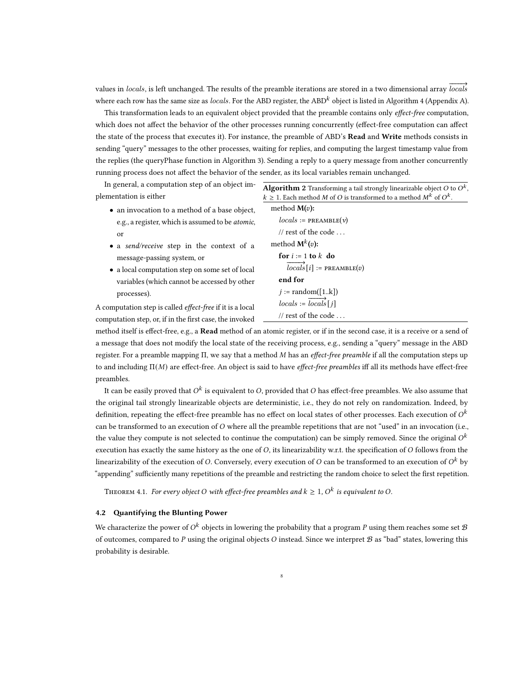values in locals, is left unchanged. The results of the preamble iterations are stored in a two dimensional array  $local's$ where each row has the same size as *locals*. For the ABD register, the ABD<sup>k</sup> object is listed in Algorithm [4](#page-18-1) (Appendix [A\)](#page-16-1).

This transformation leads to an equivalent object provided that the preamble contains only effect-free computation, which does not affect the behavior of the other processes running concurrently (effect-free computation can affect the state of the process that executes it). For instance, the preamble of ABD's Read and Write methods consists in sending "query" messages to the other processes, waiting for replies, and computing the largest timestamp value from the replies (the queryPhase function in Algorithm [3\)](#page-16-2). Sending a reply to a query message from another concurrently running process does not affect the behavior of the sender, as its local variables remain unchanged.

| In general, a computation step of an object im- | <b>Algorithm 2</b> Transforming a tail strongly linearizable object O to $O^k$ |
|-------------------------------------------------|--------------------------------------------------------------------------------|
| plementation is either                          | $k > 1$ . Each method M of O is transformed to a method $M^{k}$ of $O^{k}$ .   |
|                                                 |                                                                                |

- an invocation to a method of a base object, e.g., a register, which is assumed to be atomic, or
- a send/receive step in the context of a message-passing system, or
- a local computation step on some set of local variables (which cannot be accessed by other processes).

A computation step is called effect-free if it is a local computation step, or, if in the first case, the invoked

<span id="page-7-1"></span>

| $\geq 1$ . Each method M of O is transformed to a method M <sup>n</sup> of O <sup>n</sup> . |
|---------------------------------------------------------------------------------------------|
| method $M(v)$ :                                                                             |
| $locals := \texttt{PREAMBLE}(v)$                                                            |
| // rest of the code $\dots$                                                                 |
| method $M^k(v)$ :                                                                           |
| for $i := 1$ to k do                                                                        |
| $\overrightarrow{locals}[i] := \texttt{PREAMBLE}(v)$                                        |
| end for                                                                                     |
| $j := \text{random}([1k])$                                                                  |
| $locals := \overrightarrow{locals} \, [ \, i]$                                              |
| // rest of the code $\dots$                                                                 |

,

method itself is effect-free, e.g., a Read method of an atomic register, or if in the second case, it is a receive or a send of a message that does not modify the local state of the receiving process, e.g., sending a "query" message in the ABD register. For a preamble mapping  $\Pi$ , we say that a method M has an *effect-free preamble* if all the computation steps up to and including  $\Pi(M)$  are effect-free. An object is said to have effect-free preambles iff all its methods have effect-free preambles.

It can be easily proved that  $O^k$  is equivalent to 0, provided that 0 has effect-free preambles. We also assume that the original tail strongly linearizable objects are deterministic, i.e., they do not rely on randomization. Indeed, by definition, repeating the effect-free preamble has no effect on local states of other processes. Each execution of  $O^k$ can be transformed to an execution of  $O$  where all the preamble repetitions that are not "used" in an invocation (i.e., the value they compute is not selected to continue the computation) can be simply removed. Since the original  $O^k$ execution has exactly the same history as the one of  $O$ , its linearizability w.r.t. the specification of  $O$  follows from the linearizability of the execution of O. Conversely, every execution of O can be transformed to an execution of  $O^k$  by "appending" sufficiently many repetitions of the preamble and restricting the random choice to select the first repetition.

THEOREM 4.1. For every object O with effect-free preambles and  $k\geq 1,$   $O^k$  is equivalent to O.

## <span id="page-7-0"></span>4.2 Quantifying the Blunting Power

We characterize the power of  $O^k$  objects in lowering the probability that a program P using them reaches some set  $\mathcal B$ of outcomes, compared to P using the original objects O instead. Since we interpret  $B$  as "bad" states, lowering this probability is desirable.

8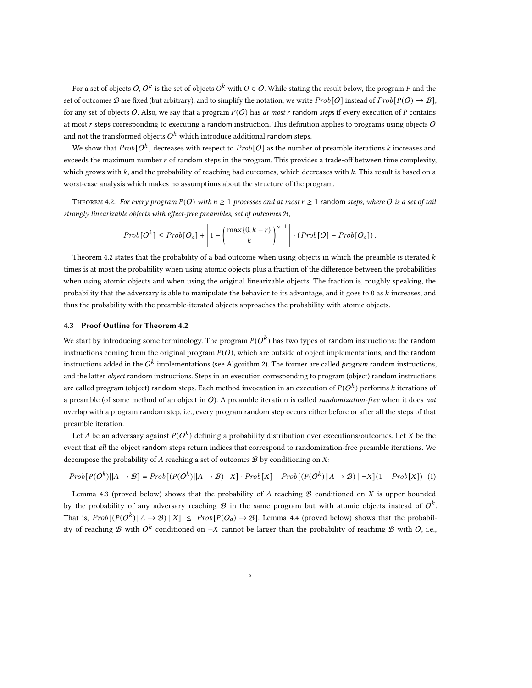For a set of objects  $O, O^k$  is the set of objects  $O^k$  with  $O \in O.$  While stating the result below, the program  $P$  and the set of outcomes B are fixed (but arbitrary), and to simplify the notation, we write  $Prob[O]$  instead of  $Prob[P(O) \rightarrow B]$ , for any set of objects O. Also, we say that a program  $P(O)$  has at most r random steps if every execution of P contains at most  $r$  steps corresponding to executing a random instruction. This definition applies to programs using objects  $O$ and not the transformed objects  $O^k$  which introduce additional random steps.

We show that  $Prob[O^k]$  decreases with respect to  $Prob[O]$  as the number of preamble iterations  $k$  increases and exceeds the maximum number  $r$  of random steps in the program. This provides a trade-off between time complexity, which grows with  $k$ , and the probability of reaching bad outcomes, which decreases with  $k$ . This result is based on a worst-case analysis which makes no assumptions about the structure of the program.

<span id="page-8-0"></span>THEOREM 4.2. For every program  $P(O)$  with  $n \geq 1$  processes and at most  $r \geq 1$  random steps, where O is a set of tail strongly linearizable objects with effect-free preambles, set of outcomes B,

$$
Prob[O^k] \le Prob[O_a] + \left[1 - \left(\frac{\max\{0, k-r\}}{k}\right)^{n-1}\right] \cdot (Prob[O] - Prob[O_a]).
$$

Theorem [4.2](#page-8-0) states that the probability of a bad outcome when using objects in which the preamble is iterated  $k$ times is at most the probability when using atomic objects plus a fraction of the difference between the probabilities when using atomic objects and when using the original linearizable objects. The fraction is, roughly speaking, the probability that the adversary is able to manipulate the behavior to its advantage, and it goes to  $0$  as  $k$  increases, and thus the probability with the preamble-iterated objects approaches the probability with atomic objects.

#### 4.3 Proof Outline for Theorem [4.2](#page-8-0)

We start by introducing some terminology. The program  $P(O^k)$  has two types of random instructions: the random instructions coming from the original program  $P(O)$ , which are outside of object implementations, and the random instructions added in the  $O^k$  implementations (see Algorithm [2\)](#page-7-1). The former are called *program* random instructions, and the latter *object* random instructions. Steps in an execution corresponding to program (object) random instructions are called program (object) random steps. Each method invocation in an execution of  $P(O^k)$  performs  $k$  iterations of a preamble (of some method of an object in O). A preamble iteration is called *randomization-free* when it does not overlap with a program random step, i.e., every program random step occurs either before or after all the steps of that preamble iteration.

Let A be an adversary against  $P(O^k)$  defining a probability distribution over executions/outcomes. Let X be the event that all the object random steps return indices that correspond to randomization-free preamble iterations. We decompose the probability of  $A$  reaching a set of outcomes  $B$  by conditioning on  $X$ :

$$
Prob[P(Ok)||A \to B] = Prob[(P(Ok)||A \to B) | X] \cdot Prob[X] + Prob[(P(Ok)||A \to B) | \neg X](1 - Prob[X])
$$
(1)

Lemma [4.3](#page-9-0) (proved below) shows that the probability of  $A$  reaching  $B$  conditioned on  $X$  is upper bounded by the probability of any adversary reaching  $\mathcal B$  in the same program but with atomic objects instead of  $O^k$ . That is,  $Prob[(P(O^k)||A \rightarrow B) | X] \le Prob[P(O_a) \rightarrow B]$ . Lemma [4.4](#page-10-0) (proved below) shows that the probability of reaching B with  $O^k$  conditioned on  $\neg X$  cannot be larger than the probability of reaching B with O, i.e.,

<span id="page-8-1"></span>9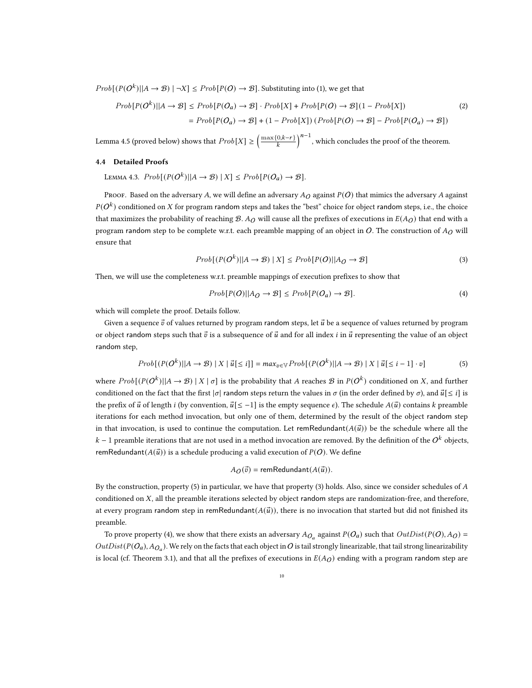$Prob[(P(O<sup>k</sup>)||A \rightarrow B) | \neg X] \leq Prob[P(O) \rightarrow B]$ . Substituting into [\(1\)](#page-8-1), we get that

$$
Prob[P(Ok)||A \to B] \leq Prob[P(Oa) \to B] \cdot Prob[X] + Prob[P(O) \to B](1 - Prob[X])
$$
\n
$$
= Prob[P(Oa) \to B] + (1 - Prob[X]) (Prob[P(O) \to B] - Prob[P(Oa) \to B])
$$
\n(2)

Lemma [4.5](#page-10-1) (proved below) shows that  $Prob[X] \geq \left(\frac{\max\{0,k-r\}}{k}\right)^{n-1}$ , which concludes the proof of the theorem.

## <span id="page-9-0"></span>4.4 Detailed Proofs

Lemma 4.3.  $Prob[(P(O^k)||A \rightarrow B) | X] \le Prob[P(O_a) \rightarrow B].$ 

Proof. Based on the adversary A, we will define an adversary  $A_O$  against  $P(O)$  that mimics the adversary A against  $P(O^k)$  conditioned on X for program random steps and takes the "best" choice for object random steps, i.e., the choice that maximizes the probability of reaching  $B.A_O$  will cause all the prefixes of executions in  $E(A_O)$  that end with a program random step to be complete w.r.t. each preamble mapping of an object in O. The construction of  $A_O$  will ensure that

$$
Prob[(P(Ok)||A \to B) | X] \le Prob[P(O)||A_O \to B]
$$
\n(3)

Then, we will use the completeness w.r.t. preamble mappings of execution prefixes to show that

<span id="page-9-3"></span><span id="page-9-2"></span>
$$
Prob[P(O)||A_O \to \mathcal{B}] \le Prob[P(O_a) \to \mathcal{B}]. \tag{4}
$$

which will complete the proof. Details follow.

Given a sequence  $\vec{v}$  of values returned by program random steps, let  $\vec{u}$  be a sequence of values returned by program or object random steps such that  $\vec{v}$  is a subsequence of  $\vec{u}$  and for all index *i* in  $\vec{u}$  representing the value of an object random step,

$$
Prob[(P(Ok)||A \to B) | X | \vec{u}[\leq i]] = max_{v \in V} Prob[(P(Ok)||A \to B) | X | \vec{u}[\leq i-1] \cdot v]
$$
\n(5)

where  $Prob[(P(O^k)||A \rightarrow B) | X | \sigma]$  is the probability that A reaches B in  $P(O^k)$  conditioned on X, and further conditioned on the fact that the first  $|\sigma|$  random steps return the values in  $\sigma$  (in the order defined by  $\sigma$ ), and  $\vec{u} \leq i$  is the prefix of  $\vec{u}$  of length *i* (by convention,  $\vec{u}$ [ $\leq$  -1] is the empty sequence  $\epsilon$ ). The schedule  $A(\vec{u})$  contains *k* preamble iterations for each method invocation, but only one of them, determined by the result of the object random step in that invocation, is used to continue the computation. Let remRedundant $(A(\vec{u}))$  be the schedule where all the  $k-1$  preamble iterations that are not used in a method invocation are removed. By the definition of the  $O<sup>k</sup>$  objects, remRedundant $(A(\vec{u}))$  is a schedule producing a valid execution of  $P(O)$ . We define

<span id="page-9-1"></span>
$$
A_O(\vec{v}) = \text{remRedundant}(A(\vec{u})).
$$

By the construction, property [\(5\)](#page-9-1) in particular, we have that property [\(3\)](#page-9-2) holds. Also, since we consider schedules of A conditioned on  $X$ , all the preamble iterations selected by object random steps are randomization-free, and therefore, at every program random step in remRedundant $(A(\vec{u}))$ , there is no invocation that started but did not finished its preamble.

To prove property [\(4\)](#page-9-3), we show that there exists an adversary  $A_{O_a}$  against  $P(O_a)$  such that  $OutDist(P(O), A_O) =$  $OutDist(P(O_a), A_{O_a})$ . We rely on the facts that each object in O is tail strongly linearizable, that tail strong linearizability is local (cf. Theorem [3.1\)](#page-6-2), and that all the prefixes of executions in  $E(A<sub>O</sub>)$  ending with a program random step are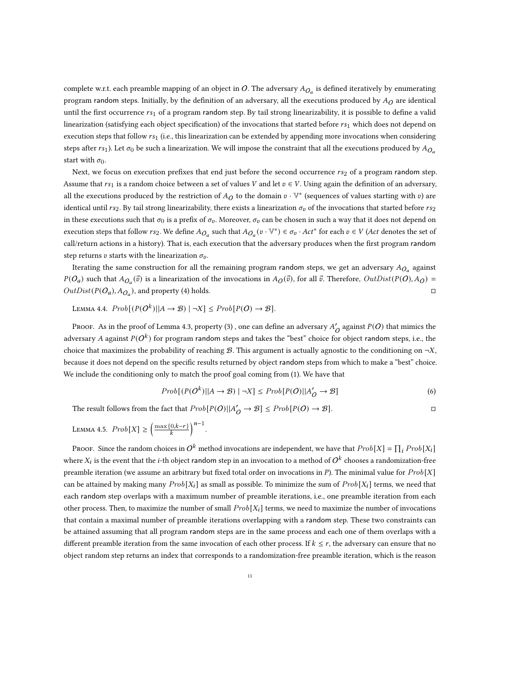complete w.r.t. each preamble mapping of an object in O. The adversary  $A_{O_a}$  is defined iteratively by enumerating program random steps. Initially, by the definition of an adversary, all the executions produced by  $A_O$  are identical until the first occurrence  $rs_1$  of a program random step. By tail strong linearizability, it is possible to define a valid linearization (satisfying each object specification) of the invocations that started before  $rs_1$  which does not depend on execution steps that follow  $rs_1$  (i.e., this linearization can be extended by appending more invocations when considering steps after  $rs_1$ ). Let  $\sigma_0$  be such a linearization. We will impose the constraint that all the executions produced by  $A_{O_n}$ start with  $\sigma_0$ .

Next, we focus on execution prefixes that end just before the second occurrence  $rs_2$  of a program random step. Assume that  $rs_1$  is a random choice between a set of values V and let  $v \in V$ . Using again the definition of an adversary, all the executions produced by the restriction of  $A_O$  to the domain  $v\cdot V^*$  (sequences of values starting with  $v$ ) are identical until  $rs_2$ . By tail strong linearizability, there exists a linearization  $\sigma_v$  of the invocations that started before  $rs_2$ in these executions such that  $\sigma_0$  is a prefix of  $\sigma_v$ . Moreover,  $\sigma_v$  can be chosen in such a way that it does not depend on execution steps that follow  $rs_2$ . We define  $A_{O_a}$  such that  $A_{O_a}(v \cdot V^*) \in \sigma_v \cdot Act^*$  for each  $v \in V$  (Act denotes the set of call/return actions in a history). That is, each execution that the adversary produces when the first program random step returns v starts with the linearization  $\sigma_v$ .

Iterating the same construction for all the remaining program r<mark>andom</mark> steps, we get an adversary  $A_{O_a}$  against  $P(O_a)$  such that  $A_{O_a}(\vec{v})$  is a linearization of the invocations in  $A_O(\vec{v})$ , for all  $\vec{v}$ . Therefore,  $OutDist(P(O), A_O)$  =  $OutDist(P(O_a), A_{O_a})$ , and property [\(4\)](#page-9-3) holds.  $\square$ 

<span id="page-10-0"></span>Lemma 4.4.  $Prob[(P(O^k)||A \rightarrow B) | \neg X] \le Prob[P(O) \rightarrow B].$ 

Proof. As in the proof of Lemma [4.3,](#page-9-0) property [\(3\)](#page-9-2) , one can define an adversary  $A'_{\cal{O}}$  against  $P(O)$  that mimics the adversary A against  $P(O^k)$  for program random steps and takes the "best" choice for object random steps, i.e., the choice that maximizes the probability of reaching B. This argument is actually agnostic to the conditioning on  $\neg X$ . because it does not depend on the specific results returned by object random steps from which to make a "best" choice. We include the conditioning only to match the proof goal coming from [\(1\)](#page-8-1). We have that

$$
Prob[(P(Ok)||A \to \mathcal{B}) | \neg X] \le Prob[P(O)||A'_{O} \to \mathcal{B}]
$$
\n(6)

The result follows from the fact that  $Prob[P(O)||A'_{O} \rightarrow \mathcal{B}] \leq Prob[P(O) \rightarrow \mathcal{B}]$ .

<span id="page-10-1"></span>LEMMA 4.5.  $Prob[X] \ge \left(\frac{\max\{0, k-r\}}{k}\right)^{n-1}$ .

Proof. Since the random choices in  $O^k$  method invocations are independent, we have that  $Prob[X] = \prod_i Prob[X_i]$ where  $X_i$  is the event that the *i*-th object random step in an invocation to a method of  $O^k$  chooses a randomization-free preamble iteration (we assume an arbitrary but fixed total order on invocations in P). The minimal value for  $Prob[X]$ can be attained by making many  $Prob[X_i]$  as small as possible. To minimize the sum of  $Prob[X_i]$  terms, we need that each random step overlaps with a maximum number of preamble iterations, i.e., one preamble iteration from each other process. Then, to maximize the number of small  $Prob[X_i]$  terms, we need to maximize the number of invocations that contain a maximal number of preamble iterations overlapping with a random step. These two constraints can be attained assuming that all program random steps are in the same process and each one of them overlaps with a different preamble iteration from the same invocation of each other process. If  $k \le r$ , the adversary can ensure that no object random step returns an index that corresponds to a randomization-free preamble iteration, which is the reason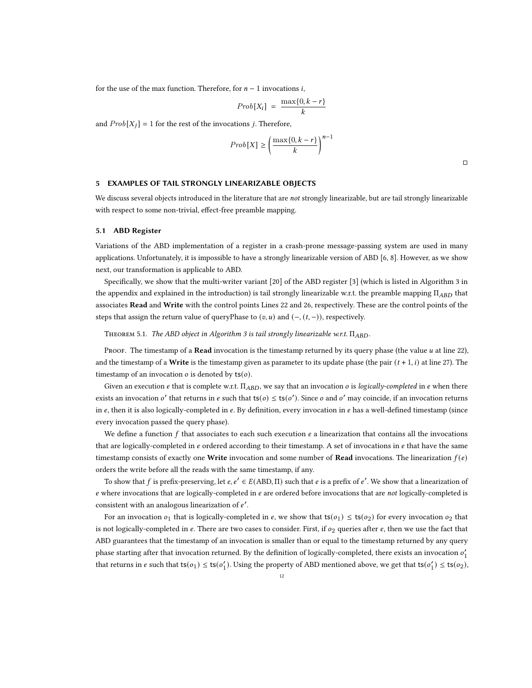for the use of the max function. Therefore, for  $n-1$  invocations *i*,

$$
Prob[X_i] \ = \ \frac{\max\{0,k-r\}}{k}
$$

and  $Prob[X_i] = 1$  for the rest of the invocations j. Therefore,

$$
Prob[X] \ge \left(\frac{\max\{0, k-r\}}{k}\right)^{n-1}
$$

□

#### <span id="page-11-0"></span>5 EXAMPLES OF TAIL STRONGLY LINEARIZABLE OBJECTS

We discuss several objects introduced in the literature that are not strongly linearizable, but are tail strongly linearizable with respect to some non-trivial, effect-free preamble mapping.

## 5.1 ABD Register

Variations of the ABD implementation of a register in a crash-prone message-passing system are used in many applications. Unfortunately, it is impossible to have a strongly linearizable version of ABD [\[6,](#page-15-8) [8\]](#page-15-9). However, as we show next, our transformation is applicable to ABD.

Specifically, we show that the multi-writer variant [\[20\]](#page-15-6) of the ABD register [\[3\]](#page-15-5) (which is listed in Algorithm [3](#page-16-2) in the appendix and explained in the introduction) is tail strongly linearizable w.r.t. the preamble mapping  $\Pi_{ABD}$  that associates Read and Write with the control points Lines [22](#page-16-3) and [26,](#page-16-4) respectively. These are the control points of the steps that assign the return value of queryPhase to  $(v, u)$  and  $(-, (t, -))$ , respectively.

<span id="page-11-1"></span>THEOREM 5.1. The ABD object in Algorithm [3](#page-16-2) is tail strongly linearizable w.r.t.  $\Pi_{ABD}$ .

Proof. The timestamp of a **Read** invocation is the timestamp returned by its query phase (the value  $u$  at line [22\)](#page-16-3), and the timestamp of a Write is the timestamp given as parameter to its update phase (the pair  $(t + 1, i)$  at line [27\)](#page-16-5). The timestamp of an invocation  $o$  is denoted by  $ts(o)$ .

Given an execution  $e$  that is complete w.r.t.  $\Pi_{ABD}$ , we say that an invocation  $o$  is logically-completed in  $e$  when there exists an invocation o' that returns in e such that  $ts(o) \leq ts(o')$ . Since o and o' may coincide, if an invocation returns in  $e$ , then it is also logically-completed in  $e$ . By definition, every invocation in  $e$  has a well-defined timestamp (since every invocation passed the query phase).

We define a function  $f$  that associates to each such execution  $e$  a linearization that contains all the invocations that are logically-completed in  $e$  ordered according to their timestamp. A set of invocations in  $e$  that have the same timestamp consists of exactly one Write invocation and some number of Read invocations. The linearization  $f(e)$ orders the write before all the reads with the same timestamp, if any.

To show that f is prefix-preserving, let  $e, e' \in E(ABD, \Pi)$  such that e is a prefix of e'. We show that a linearization of  $e$  where invocations that are logically-completed in  $e$  are ordered before invocations that are *not* logically-completed is consistent with an analogous linearization of ′ .

For an invocation  $o_1$  that is logically-completed in e, we show that  $ts(o_1) \leq ts(o_2)$  for every invocation  $o_2$  that is not logically-completed in  $e$ . There are two cases to consider. First, if  $o_2$  queries after  $e$ , then we use the fact that ABD guarantees that the timestamp of an invocation is smaller than or equal to the timestamp returned by any query phase starting after that invocation returned. By the definition of logically-completed, there exists an invocation  $o'_1$ that returns in  $e$  such that  $ts(o_1) \leq ts(o'_1)$ . Using the property of ABD mentioned above, we get that  $ts(o'_1) \leq ts(o_2)$ ,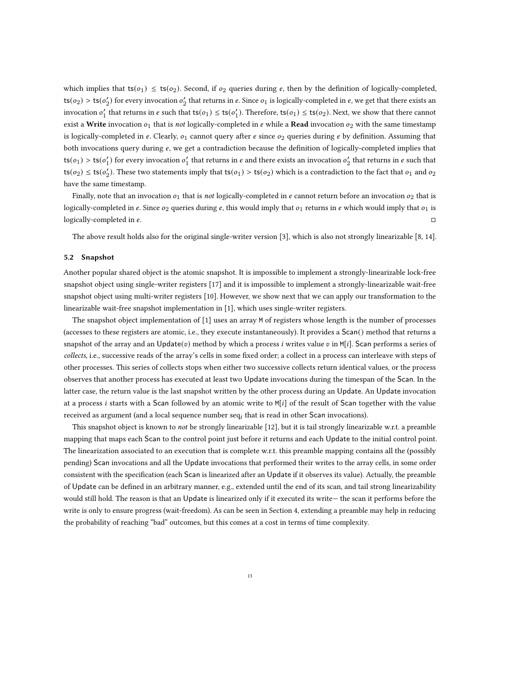which implies that  $ts(o_1) \leq ts(o_2)$ . Second, if  $o_2$  queries during e, then by the definition of logically-completed, ts( $o_2$ ) > ts( $o'_2$ ) for every invocation  $o'_2$  that returns in  $e$ . Since  $o_1$  is logically-completed in  $e$ , we get that there exists an invocation  $o'_1$  that returns in  $e$  such that  $ts(o_1) \leq ts(o'_1)$ . Therefore,  $ts(o_1) \leq ts(o_2)$ . Next, we show that there cannot exist a Write invocation  $o_1$  that is not logically-completed in  $e$  while a Read invocation  $o_2$  with the same timestamp is logically-completed in  $e$ . Clearly,  $o_1$  cannot query after  $e$  since  $o_2$  queries during  $e$  by definition. Assuming that both invocations query during e, we get a contradiction because the definition of logically-completed implies that ts( $o_1$ ) > ts( $o'_1$ ) for every invocation  $o'_1$  that returns in  $e$  and there exists an invocation  $o'_2$  that returns in  $e$  such that  $ts(o_2) \leq ts(o'_2)$ . These two statements imply that  $ts(o_1) > ts(o_2)$  which is a contradiction to the fact that  $o_1$  and  $o_2$ have the same timestamp.

Finally, note that an invocation  $o_1$  that is not logically-completed in  $e$  cannot return before an invocation  $o_2$  that is logically-completed in e. Since  $o_2$  queries during e, this would imply that  $o_1$  returns in e which would imply that  $o_1$  is logically-completed in  $e$ .

The above result holds also for the original single-writer version [\[3\]](#page-15-5), which is also not strongly linearizable [\[8,](#page-15-9) [14\]](#page-15-13).

#### 5.2 Snapshot

Another popular shared object is the atomic snapshot. It is impossible to implement a strongly-linearizable lock-free snapshot object using single-writer registers [\[17\]](#page-15-14) and it is impossible to implement a strongly-linearizable wait-free snapshot object using multi-writer registers [\[10\]](#page-15-15). However, we show next that we can apply our transformation to the linearizable wait-free snapshot implementation in [\[1\]](#page-15-10), which uses single-writer registers.

The snapshot object implementation of [\[1\]](#page-15-10) uses an array M of registers whose length is the number of processes (accesses to these registers are atomic, i.e., they execute instantaneously). It provides a Scan() method that returns a snapshot of the array and an Update(v) method by which a process *i* writes value v in M[i]. Scan performs a series of collects, i.e., successive reads of the array's cells in some fixed order; a collect in a process can interleave with steps of other processes. This series of collects stops when either two successive collects return identical values, or the process observes that another process has executed at least two Update invocations during the timespan of the Scan. In the latter case, the return value is the last snapshot written by the other process during an Update. An Update invocation at a process *i* starts with a Scan followed by an atomic write to M[ $i$ ] of the result of Scan together with the value received as argument (and a local sequence number  $seq<sub>i</sub>$  that is read in other Scan invocations).

This snapshot object is known to not be strongly linearizable [\[12\]](#page-15-3), but it is tail strongly linearizable w.r.t. a preamble mapping that maps each Scan to the control point just before it returns and each Update to the initial control point. The linearization associated to an execution that is complete w.r.t. this preamble mapping contains all the (possibly pending) Scan invocations and all the Update invocations that performed their writes to the array cells, in some order consistent with the specification (each Scan is linearized after an Update if it observes its value). Actually, the preamble of Update can be defined in an arbitrary manner, e.g., extended until the end of its scan, and tail strong linearizability would still hold. The reason is that an Update is linearized only if it executed its write— the scan it performs before the write is only to ensure progress (wait-freedom). As can be seen in Section [4,](#page-6-1) extending a preamble may help in reducing the probability of reaching "bad" outcomes, but this comes at a cost in terms of time complexity.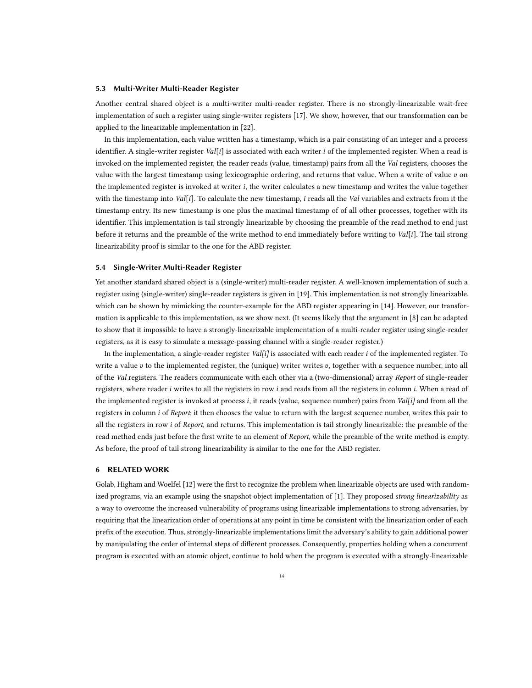#### 5.3 Multi-Writer Multi-Reader Register

Another central shared object is a multi-writer multi-reader register. There is no strongly-linearizable wait-free implementation of such a register using single-writer registers [\[17\]](#page-15-14). We show, however, that our transformation can be applied to the linearizable implementation in [\[22\]](#page-15-11).

In this implementation, each value written has a timestamp, which is a pair consisting of an integer and a process identifier. A single-writer register Val[i] is associated with each writer *i* of the implemented register. When a read is invoked on the implemented register, the reader reads (value, timestamp) pairs from all the Val registers, chooses the value with the largest timestamp using lexicographic ordering, and returns that value. When a write of value  $v$  on the implemented register is invoked at writer *i*, the writer calculates a new timestamp and writes the value together with the timestamp into Val $[i]$ . To calculate the new timestamp, i reads all the Val variables and extracts from it the timestamp entry. Its new timestamp is one plus the maximal timestamp of of all other processes, together with its identifier. This implementation is tail strongly linearizable by choosing the preamble of the read method to end just before it returns and the preamble of the write method to end immediately before writing to Val[i]. The tail strong linearizability proof is similar to the one for the ABD register.

#### 5.4 Single-Writer Multi-Reader Register

Yet another standard shared object is a (single-writer) multi-reader register. A well-known implementation of such a register using (single-writer) single-reader registers is given in [\[19\]](#page-15-12). This implementation is not strongly linearizable, which can be shown by mimicking the counter-example for the ABD register appearing in [\[14\]](#page-15-13). However, our transformation is applicable to this implementation, as we show next. (It seems likely that the argument in [\[8\]](#page-15-9) can be adapted to show that it impossible to have a strongly-linearizable implementation of a multi-reader register using single-reader registers, as it is easy to simulate a message-passing channel with a single-reader register.)

In the implementation, a single-reader register Val[i] is associated with each reader  $i$  of the implemented register. To write a value  $v$  to the implemented register, the (unique) writer writes  $v$ , together with a sequence number, into all of the Val registers. The readers communicate with each other via a (two-dimensional) array Report of single-reader registers, where reader  $i$  writes to all the registers in row  $i$  and reads from all the registers in column  $i$ . When a read of the implemented register is invoked at process *i*, it reads (value, sequence number) pairs from *Val[i]* and from all the registers in column *i* of Report; it then chooses the value to return with the largest sequence number, writes this pair to all the registers in row *i* of Report, and returns. This implementation is tail strongly linearizable: the preamble of the read method ends just before the first write to an element of Report, while the preamble of the write method is empty. As before, the proof of tail strong linearizability is similar to the one for the ABD register.

## <span id="page-13-0"></span>6 RELATED WORK

Golab, Higham and Woelfel [\[12\]](#page-15-3) were the first to recognize the problem when linearizable objects are used with random-ized programs, via an example using the snapshot object implementation of [\[1\]](#page-15-10). They proposed strong linearizability as a way to overcome the increased vulnerability of programs using linearizable implementations to strong adversaries, by requiring that the linearization order of operations at any point in time be consistent with the linearization order of each prefix of the execution. Thus, strongly-linearizable implementations limit the adversary's ability to gain additional power by manipulating the order of internal steps of different processes. Consequently, properties holding when a concurrent program is executed with an atomic object, continue to hold when the program is executed with a strongly-linearizable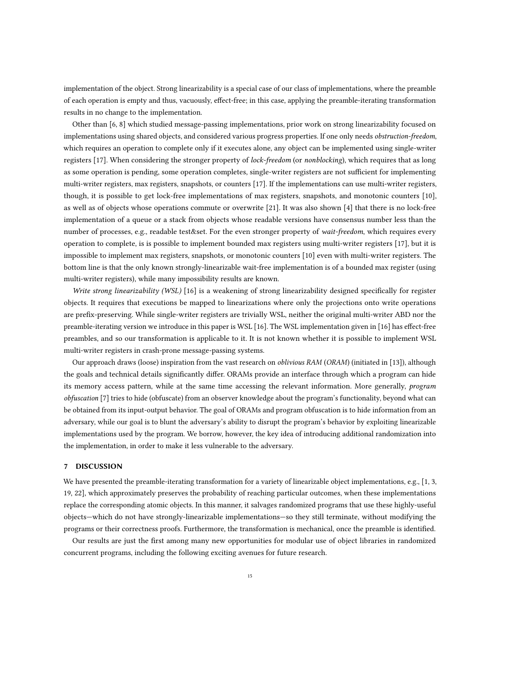implementation of the object. Strong linearizability is a special case of our class of implementations, where the preamble of each operation is empty and thus, vacuously, effect-free; in this case, applying the preamble-iterating transformation results in no change to the implementation.

Other than [\[6,](#page-15-8) [8\]](#page-15-9) which studied message-passing implementations, prior work on strong linearizability focused on implementations using shared objects, and considered various progress properties. If one only needs obstruction-freedom, which requires an operation to complete only if it executes alone, any object can be implemented using single-writer registers [\[17\]](#page-15-14). When considering the stronger property of lock-freedom (or nonblocking), which requires that as long as some operation is pending, some operation completes, single-writer registers are not sufficient for implementing multi-writer registers, max registers, snapshots, or counters [\[17\]](#page-15-14). If the implementations can use multi-writer registers, though, it is possible to get lock-free implementations of max registers, snapshots, and monotonic counters [\[10\]](#page-15-15), as well as of objects whose operations commute or overwrite [\[21\]](#page-15-16). It was also shown [\[4\]](#page-15-17) that there is no lock-free implementation of a queue or a stack from objects whose readable versions have consensus number less than the number of processes, e.g., readable test&set. For the even stronger property of wait-freedom, which requires every operation to complete, is is possible to implement bounded max registers using multi-writer registers [\[17\]](#page-15-14), but it is impossible to implement max registers, snapshots, or monotonic counters [\[10\]](#page-15-15) even with multi-writer registers. The bottom line is that the only known strongly-linearizable wait-free implementation is of a bounded max register (using multi-writer registers), while many impossibility results are known.

Write strong linearizability (WSL) [\[16\]](#page-15-18) is a weakening of strong linearizability designed specifically for register objects. It requires that executions be mapped to linearizations where only the projections onto write operations are prefix-preserving. While single-writer registers are trivially WSL, neither the original multi-writer ABD nor the preamble-iterating version we introduce in this paper is WSL [\[16\]](#page-15-18). The WSL implementation given in [\[16\]](#page-15-18) has effect-free preambles, and so our transformation is applicable to it. It is not known whether it is possible to implement WSL multi-writer registers in crash-prone message-passing systems.

Our approach draws (loose) inspiration from the vast research on *oblivious RAM* (ORAM) (initiated in [\[13\]](#page-15-19)), although the goals and technical details significantly differ. ORAMs provide an interface through which a program can hide its memory access pattern, while at the same time accessing the relevant information. More generally, *program* obfuscation [\[7\]](#page-15-20) tries to hide (obfuscate) from an observer knowledge about the program's functionality, beyond what can be obtained from its input-output behavior. The goal of ORAMs and program obfuscation is to hide information from an adversary, while our goal is to blunt the adversary's ability to disrupt the program's behavior by exploiting linearizable implementations used by the program. We borrow, however, the key idea of introducing additional randomization into the implementation, in order to make it less vulnerable to the adversary.

## 7 DISCUSSION

We have presented the preamble-iterating transformation for a variety of linearizable object implementations, e.g., [\[1,](#page-15-10) [3,](#page-15-5) [19,](#page-15-12) [22\]](#page-15-11), which approximately preserves the probability of reaching particular outcomes, when these implementations replace the corresponding atomic objects. In this manner, it salvages randomized programs that use these highly-useful objects—which do not have strongly-linearizable implementations—so they still terminate, without modifying the programs or their correctness proofs. Furthermore, the transformation is mechanical, once the preamble is identified.

Our results are just the first among many new opportunities for modular use of object libraries in randomized concurrent programs, including the following exciting avenues for future research.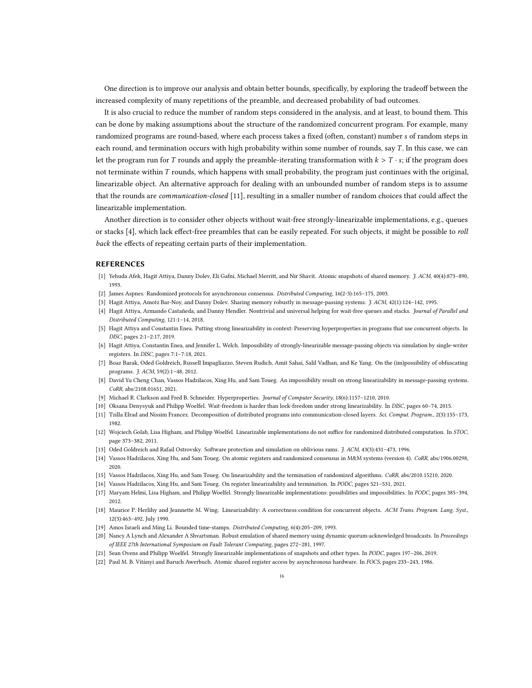One direction is to improve our analysis and obtain better bounds, specifically, by exploring the tradeoff between the increased complexity of many repetitions of the preamble, and decreased probability of bad outcomes.

It is also crucial to reduce the number of random steps considered in the analysis, and at least, to bound them. This can be done by making assumptions about the structure of the randomized concurrent program. For example, many randomized programs are round-based, where each process takes a fixed (often, constant) number s of random steps in each round, and termination occurs with high probability within some number of rounds, say  $T$ . In this case, we can let the program run for T rounds and apply the preamble-iterating transformation with  $k > T \cdot s$ ; if the program does not terminate within T rounds, which happens with small probability, the program just continues with the original, linearizable object. An alternative approach for dealing with an unbounded number of random steps is to assume that the rounds are *communication-closed* [\[11\]](#page-15-21), resulting in a smaller number of random choices that could affect the linearizable implementation.

Another direction is to consider other objects without wait-free strongly-linearizable implementations, e.g., queues or stacks [\[4\]](#page-15-17), which lack effect-free preambles that can be easily repeated. For such objects, it might be possible to roll back the effects of repeating certain parts of their implementation.

## REFERENCES

- <span id="page-15-10"></span>[1] Yehuda Afek, Hagit Attiya, Danny Dolev, Eli Gafni, Michael Merritt, and Nir Shavit. Atomic snapshots of shared memory. J. ACM, 40(4):873–890, 1993.
- <span id="page-15-7"></span>[2] James Aspnes. Randomized protocols for asynchronous consensus. Distributed Computing, 16(2-3):165–175, 2003.
- <span id="page-15-17"></span><span id="page-15-5"></span>[3] Hagit Attiya, Amotz Bar-Noy, and Danny Dolev. Sharing memory robustly in message-passing systems. *J. ACM*, 42(1):124–142, 1995.
- [4] Hagit Attiya, Armando Castañeda, and Danny Hendler. Nontrivial and universal helping for wait-free queues and stacks. Journal of Parallel and Distributed Computing, 121:1–14, 2018.
- <span id="page-15-2"></span>[5] Hagit Attiya and Constantin Enea. Putting strong linearizability in context: Preserving hyperproperties in programs that use concurrent objects. In DISC, pages 2:1–2:17, 2019.
- <span id="page-15-8"></span>[6] Hagit Attiya, Constantin Enea, and Jennifer L. Welch. Impossibility of strongly-linearizable message-passing objects via simulation by single-writer registers. In DISC, pages 7:1–7:18, 2021.
- <span id="page-15-20"></span>[7] Boaz Barak, Oded Goldreich, Russell Impagliazzo, Steven Rudich, Amit Sahai, Salil Vadhan, and Ke Yang. On the (im)possibility of obfuscating programs. J. ACM, 59(2):1–48, 2012.
- <span id="page-15-9"></span>[8] David Yu Cheng Chan, Vassos Hadzilacos, Xing Hu, and Sam Toueg. An impossibility result on strong linearizability in message-passing systems. CoRR, abs/2108.01651, 2021.
- <span id="page-15-1"></span>[9] Michael R. Clarkson and Fred B. Schneider. Hyperproperties. Journal of Computer Security, 18(6):1157–1210, 2010.
- <span id="page-15-15"></span>[10] Oksana Denysyuk and Philipp Woelfel. Wait-freedom is harder than lock-freedom under strong linearizability. In DISC, pages 60–74, 2015.
- <span id="page-15-21"></span>[11] Tzilla Elrad and Nissim Francez. Decomposition of distributed programs into communication-closed layers. Sci. Comput. Program., 2(3):155–173, 1982.
- <span id="page-15-3"></span>[12] Wojciech Golab, Lisa Higham, and Philipp Woelfel. Linearizable implementations do not suffice for randomized distributed computation. In STOC, page 373–382, 2011.
- <span id="page-15-19"></span>[13] Oded Goldreich and Rafail Ostrovsky. Software protection and simulation on oblivious rams. J. ACM, 43(3):431–473, 1996.
- <span id="page-15-13"></span>[14] Vassos Hadzilacos, Xing Hu, and Sam Toueg. On atomic registers and randomized consensus in M&M systems (version 4). CoRR, abs/1906.00298, 2020.
- <span id="page-15-4"></span>[15] Vassos Hadzilacos, Xing Hu, and Sam Toueg. On linearizability and the termination of randomized algorithms. CoRR, abs/2010.15210, 2020.
- <span id="page-15-18"></span>[16] Vassos Hadzilacos, Xing Hu, and Sam Toueg. On register linearizability and termination. In PODC, pages 521–531, 2021.
- <span id="page-15-14"></span>[17] Maryam Helmi, Lisa Higham, and Philipp Woelfel. Strongly linearizable implementations: possibilities and impossibilities. In PODC, pages 385–394, 2012.
- <span id="page-15-0"></span>[18] Maurice P. Herlihy and Jeannette M. Wing. Linearizability: A correctness condition for concurrent objects. ACM Trans. Program. Lang. Syst., 12(3):463–492, July 1990.
- <span id="page-15-12"></span>[19] Amos Israeli and Ming Li. Bounded time-stamps. Distributed Computing, 6(4):205–209, 1993.
- <span id="page-15-6"></span>[20] Nancy A Lynch and Alexander A Shvartsman. Robust emulation of shared memory using dynamic quorum-acknowledged broadcasts. In Proceedings of IEEE 27th International Symposium on Fault Tolerant Computing, pages 272–281, 1997.
- <span id="page-15-16"></span>[21] Sean Ovens and Philipp Woelfel. Strongly linearizable implementations of snapshots and other types. In PODC, pages 197–206, 2019.
- <span id="page-15-11"></span>[22] Paul M. B. Vitányi and Baruch Awerbuch. Atomic shared register access by asynchronous hardware. In FOCS, pages 233–243, 1986.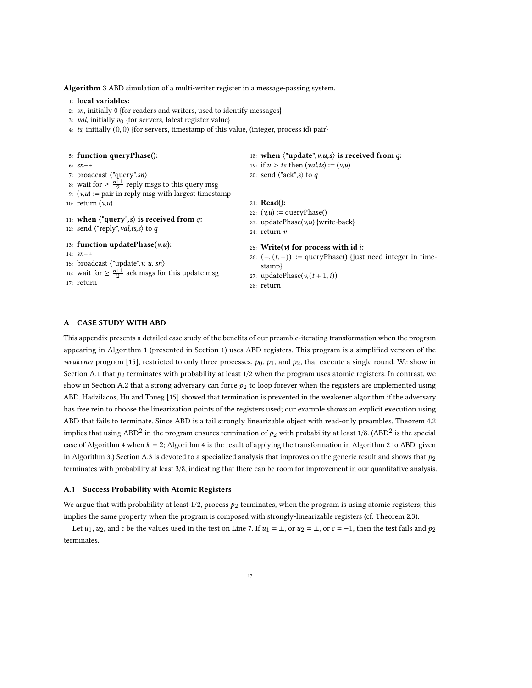<span id="page-16-3"></span>1: local variables: 2: sn, initially 0 {for readers and writers, used to identify messages} 3: val, initially  $v_0$  {for servers, latest register value} 4: ts, initially  $(0, 0)$  {for servers, timestamp of this value, (integer, process id) pair} 5: function queryPhase(): 6:  $sn + +$ 7: broadcast ⟨"query",sn⟩ 8: wait for  $\geq \frac{n+1}{2}$  reply msgs to this query msg 9:  $(v, u) :=$  pair in reply msg with largest timestamp 10: return  $(v, u)$ 11: when  $\langle$ "query",s $\rangle$  is received from q: 12: send  $\langle$ "reply", val,ts,s $\rangle$  to q 13: function updatePhase $(v, u)$ : 14: sn++ 15: broadcast  $\langle$ "update", v, u, sn $\rangle$ 16: wait for  $\geq \frac{n+1}{2}$  ack msgs for this update msg 17: return 18: when  $\langle$ "update", v, u, s) is received from q: 19: if  $u > t$ s then  $\left( val, ts \right) := \left( v, u \right)$ 20: send  $\langle$ "ack", s $\rangle$  to  $q$ 21: Read(): 22:  $(v, u) := \text{queryPhase}()$ 23: updatePhase $(v, u)$  {write-back} 24: return v 25: Write( $v$ ) for process with id i: 26:  $(-, (t, -))$  := queryPhase() {just need integer in timestamp} 27: updatePhase( $v, (t + 1, i)$ ) 28: return

<span id="page-16-2"></span>Algorithm 3 ABD simulation of a multi-writer register in a message-passing system.

#### <span id="page-16-5"></span><span id="page-16-4"></span><span id="page-16-1"></span>A CASE STUDY WITH ABD

This appendix presents a detailed case study of the benefits of our preamble-iterating transformation when the program appearing in Algorithm [1](#page-1-0) (presented in Section [1\)](#page-0-0) uses ABD registers. This program is a simplified version of the weakener program [\[15\]](#page-15-4), restricted to only three processes,  $p_0$ ,  $p_1$ , and  $p_2$ , that execute a single round. We show in Section [A.1](#page-16-0) that  $p_2$  terminates with probability at least  $1/2$  when the program uses atomic registers. In contrast, we show in Section [A.2](#page-17-0) that a strong adversary can force  $p_2$  to loop forever when the registers are implemented using ABD. Hadzilacos, Hu and Toueg [\[15\]](#page-15-4) showed that termination is prevented in the weakener algorithm if the adversary has free rein to choose the linearization points of the registers used; our example shows an explicit execution using ABD that fails to terminate. Since ABD is a tail strongly linearizable object with read-only preambles, Theorem [4.2](#page-8-0) implies that using ABD<sup>2</sup> in the program ensures termination of  $p_2$  with probability at least 1/8. (ABD<sup>2</sup> is the special case of Algorithm [4](#page-18-1) when  $k = 2$  $k = 2$ ; Algorithm 4 is the result of applying the transformation in Algorithm 2 to ABD, given in Algorithm [3.](#page-16-2)) Section [A.3](#page-18-0) is devoted to a specialized analysis that improves on the generic result and shows that  $p_2$ terminates with probability at least 3/8, indicating that there can be room for improvement in our quantitative analysis.

#### <span id="page-16-0"></span>A.1 Success Probability with Atomic Registers

We argue that with probability at least  $1/2$ , process  $p_2$  terminates, when the program is using atomic registers; this implies the same property when the program is composed with strongly-linearizable registers (cf. Theorem [2.3\)](#page-5-2).

Let  $u_1$ ,  $u_2$ , and  $c$  be the values used in the test on Line [7.](#page-1-3) If  $u_1 = \bot$ , or  $u_2 = \bot$ , or  $c = -1$ , then the test fails and  $p_2$ terminates.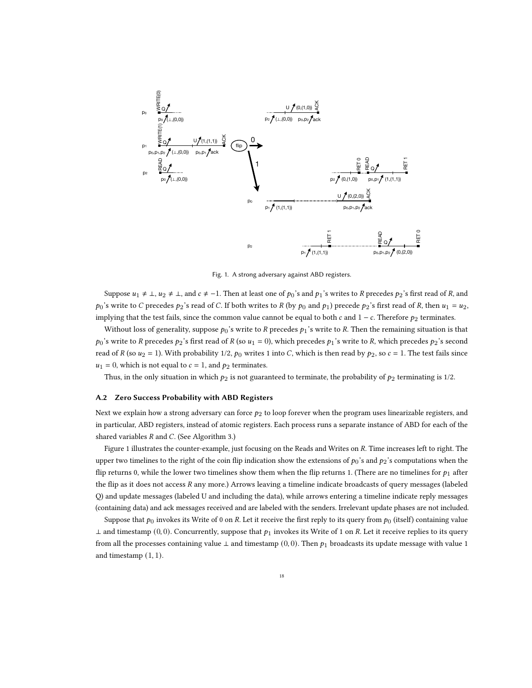<span id="page-17-1"></span>

Fig. 1. A strong adversary against ABD registers.

Suppose  $u_1 \neq \bot$ ,  $u_2 \neq \bot$ , and  $c \neq -1$ . Then at least one of  $p_0$ 's and  $p_1$ 's writes to R precedes  $p_2$ 's first read of R, and  $p_0$ 's write to C precedes  $p_2$ 's read of C. If both writes to R (by  $p_0$  and  $p_1$ ) precede  $p_2$ 's first read of R, then  $u_1 = u_2$ , implying that the test fails, since the common value cannot be equal to both  $c$  and  $1 - c$ . Therefore  $p_2$  terminates.

Without loss of generality, suppose  $p_0$ 's write to R precedes  $p_1$ 's write to R. Then the remaining situation is that  $p_0$ 's write to R precedes  $p_2$ 's first read of R (so  $u_1 = 0$ ), which precedes  $p_1$ 's write to R, which precedes  $p_2$ 's second read of R (so  $u_2 = 1$ ). With probability 1/2,  $p_0$  writes 1 into C, which is then read by  $p_2$ , so  $c = 1$ . The test fails since  $u_1 = 0$ , which is not equal to  $c = 1$ , and  $p_2$  terminates.

Thus, in the only situation in which  $p_2$  is not guaranteed to terminate, the probability of  $p_2$  terminating is 1/2.

#### <span id="page-17-0"></span>A.2 Zero Success Probability with ABD Registers

Next we explain how a strong adversary can force  $p_2$  to loop forever when the program uses linearizable registers, and in particular, ABD registers, instead of atomic registers. Each process runs a separate instance of ABD for each of the shared variables  $R$  and  $C$ . (See Algorithm [3.](#page-16-2))

Figure [1](#page-17-1) illustrates the counter-example, just focusing on the Reads and Writes on R. Time increases left to right. The upper two timelines to the right of the coin flip indication show the extensions of  $p_0$ 's and  $p_2$ 's computations when the flip returns 0, while the lower two timelines show them when the flip returns 1. (There are no timelines for  $p_1$  after the flip as it does not access  $R$  any more.) Arrows leaving a timeline indicate broadcasts of query messages (labeled Q) and update messages (labeled U and including the data), while arrows entering a timeline indicate reply messages (containing data) and ack messages received and are labeled with the senders. Irrelevant update phases are not included.

Suppose that  $p_0$  invokes its Write of 0 on R. Let it receive the first reply to its query from  $p_0$  (itself) containing value  $\perp$  and timestamp (0,0). Concurrently, suppose that  $p_1$  invokes its Write of 1 on R. Let it receive replies to its query from all the processes containing value  $\perp$  and timestamp (0,0). Then  $p_1$  broadcasts its update message with value 1 and timestamp  $(1, 1)$ .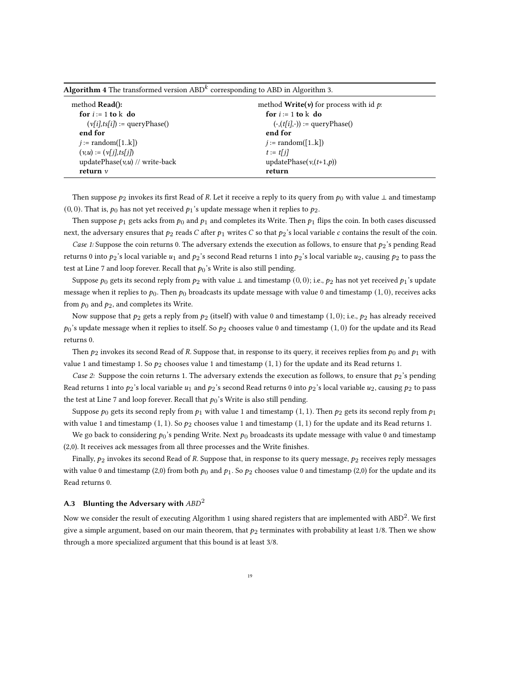| $\mathbf{u}_k$ , $\mathbf{u}_l$ , $\mathbf{u}_l$ , $\mathbf{u}_l$ , $\mathbf{u}_l$ , $\mathbf{u}_l$ , $\mathbf{u}_l$ , $\mathbf{u}_l$ , $\mathbf{u}_l$ , $\mathbf{u}_l$ , $\mathbf{u}_l$ , $\mathbf{u}_l$ , $\mathbf{u}_l$ , $\mathbf{u}_l$ , $\mathbf{u}_l$ , $\mathbf{u}_l$ , $\mathbf{u}_l$ , $\mathbf{u}_l$ , $\mathbf{$ |                                                       |  |  |
|------------------------------------------------------------------------------------------------------------------------------------------------------------------------------------------------------------------------------------------------------------------------------------------------------------------------------|-------------------------------------------------------|--|--|
| method <b>Read</b> ():                                                                                                                                                                                                                                                                                                       | method <b>Write</b> ( $v$ ) for process with id $p$ . |  |  |
| for $i := 1$ to k do                                                                                                                                                                                                                                                                                                         | for $i := 1$ to k do                                  |  |  |
| $(v[i], ts[i]) := queryPhase()$                                                                                                                                                                                                                                                                                              | $(-, (t[i], -)) := \text{queryPhase}()$               |  |  |
| end for                                                                                                                                                                                                                                                                                                                      | end for                                               |  |  |
| $i := \text{random}([1k])$                                                                                                                                                                                                                                                                                                   | $i := \text{random}([1k])$                            |  |  |
| $(v, u) := (v[i], ts[i])$                                                                                                                                                                                                                                                                                                    | $t := t[i]$                                           |  |  |
| updatePhase $(v, u)$ // write-back                                                                                                                                                                                                                                                                                           | updatePhase $(v,(t+1,p))$                             |  |  |
| return $\nu$                                                                                                                                                                                                                                                                                                                 | return                                                |  |  |
|                                                                                                                                                                                                                                                                                                                              |                                                       |  |  |

<span id="page-18-1"></span>Algorithm 4 The transformed version  $\mathrm{ABD}^k$  corresponding to  $\mathrm{ABD}$  in Algorithm [3.](#page-16-2)

Then suppose  $p_2$  invokes its first Read of R. Let it receive a reply to its query from  $p_0$  with value  $\perp$  and timestamp (0, 0). That is,  $p_0$  has not yet received  $p_1$ 's update message when it replies to  $p_2$ .

Then suppose  $p_1$  gets acks from  $p_0$  and  $p_1$  and completes its Write. Then  $p_1$  flips the coin. In both cases discussed next, the adversary ensures that  $p_2$  reads C after  $p_1$  writes C so that  $p_2$ 's local variable c contains the result of the coin.

Case 1: Suppose the coin returns 0. The adversary extends the execution as follows, to ensure that  $p_2$ 's pending Read returns 0 into  $p_2$ 's local variable  $u_1$  and  $p_2$ 's second Read returns 1 into  $p_2$ 's local variable  $u_2$ , causing  $p_2$  to pass the test at Line [7](#page-1-3) and loop forever. Recall that  $p_0$ 's Write is also still pending.

Suppose  $p_0$  gets its second reply from  $p_2$  with value ⊥ and timestamp (0,0); i.e.,  $p_2$  has not yet received  $p_1$ 's update message when it replies to  $p_0$ . Then  $p_0$  broadcasts its update message with value 0 and timestamp (1, 0), receives acks from  $p_0$  and  $p_2$ , and completes its Write.

Now suppose that  $p_2$  gets a reply from  $p_2$  (itself) with value 0 and timestamp (1,0); i.e.,  $p_2$  has already received  $p_0$ 's update message when it replies to itself. So  $p_2$  chooses value 0 and timestamp (1,0) for the update and its Read returns 0.

Then  $p_2$  invokes its second Read of R. Suppose that, in response to its query, it receives replies from  $p_0$  and  $p_1$  with value 1 and timestamp 1. So  $p_2$  chooses value 1 and timestamp  $(1, 1)$  for the update and its Read returns 1.

Case 2: Suppose the coin returns 1. The adversary extends the execution as follows, to ensure that  $p_2$ 's pending Read returns 1 into  $p_2$ 's local variable  $u_1$  and  $p_2$ 's second Read returns 0 into  $p_2$ 's local variable  $u_2$ , causing  $p_2$  to pass the test at Line [7](#page-1-3) and loop forever. Recall that  $p_0$ 's Write is also still pending.

Suppose  $p_0$  gets its second reply from  $p_1$  with value 1 and timestamp (1, 1). Then  $p_2$  gets its second reply from  $p_1$ with value 1 and timestamp  $(1, 1)$ . So  $p_2$  chooses value 1 and timestamp  $(1, 1)$  for the update and its Read returns 1.

We go back to considering  $p_0$ 's pending Write. Next  $p_0$  broadcasts its update message with value 0 and timestamp (2,0). It receives ack messages from all three processes and the Write finishes.

Finally,  $p_2$  invokes its second Read of R. Suppose that, in response to its query message,  $p_2$  receives reply messages with value 0 and timestamp (2,0) from both  $p_0$  and  $p_1$ . So  $p_2$  chooses value 0 and timestamp (2,0) for the update and its Read returns 0.

## <span id="page-18-0"></span>A.3 Blunting the Adversary with  $ABD^2$

Now we consider the result of executing Algorithm [1](#page-1-0) using shared registers that are implemented with ABD<sup>2</sup>. We first give a simple argument, based on our main theorem, that  $p_2$  terminates with probability at least 1/8. Then we show through a more specialized argument that this bound is at least 3/8.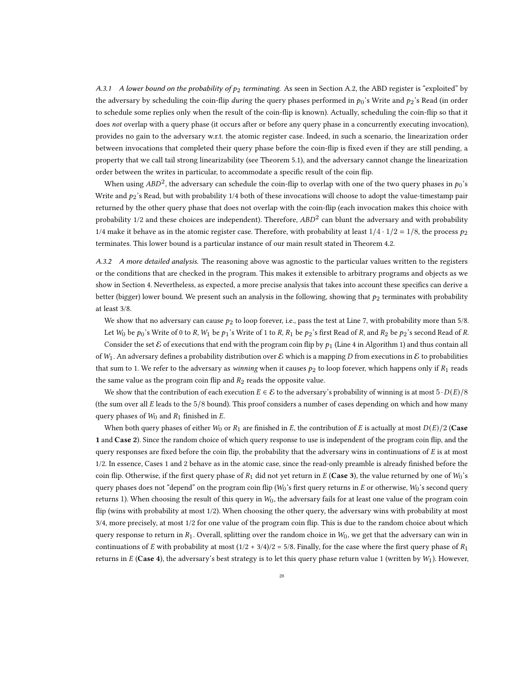A.3.1 A lower bound on the probability of  $p_2$  terminating. As seen in Section [A.2,](#page-17-0) the ABD register is "exploited" by the adversary by scheduling the coin-flip during the query phases performed in  $p_0$ 's Write and  $p_2$ 's Read (in order to schedule some replies only when the result of the coin-flip is known). Actually, scheduling the coin-flip so that it does not overlap with a query phase (it occurs after or before any query phase in a concurrently executing invocation), provides no gain to the adversary w.r.t. the atomic register case. Indeed, in such a scenario, the linearization order between invocations that completed their query phase before the coin-flip is fixed even if they are still pending, a property that we call tail strong linearizability (see Theorem [5.1\)](#page-11-1), and the adversary cannot change the linearization order between the writes in particular, to accommodate a specific result of the coin flip.

When using  $ABD^2$ , the adversary can schedule the coin-flip to overlap with one of the two query phases in  $p_0's$ Write and  $p_2$ 's Read, but with probability 1/4 both of these invocations will choose to adopt the value-timestamp pair returned by the other query phase that does not overlap with the coin-flip (each invocation makes this choice with probability 1/2 and these choices are independent). Therefore,  $ABD<sup>2</sup>$  can blunt the adversary and with probability 1/4 make it behave as in the atomic register case. Therefore, with probability at least  $1/4 \cdot 1/2 = 1/8$ , the process  $p_2$ terminates. This lower bound is a particular instance of our main result stated in Theorem [4.2.](#page-8-0)

A.3.2 A more detailed analysis. The reasoning above was agnostic to the particular values written to the registers or the conditions that are checked in the program. This makes it extensible to arbitrary programs and objects as we show in Section [4.](#page-6-1) Nevertheless, as expected, a more precise analysis that takes into account these specifics can derive a better (bigger) lower bound. We present such an analysis in the following, showing that  $p_2$  terminates with probability at least 3/8.

We show that no adversary can cause  $p_2$  to loop forever, i.e., pass the test at Line [7,](#page-1-3) with probability more than 5/8.

Let  $W_0$  be  $p_0$ 's Write of 0 to R,  $W_1$  be  $p_1$ 's Write of 1 to R,  $R_1$  be  $p_2$ 's first Read of R, and  $R_2$  be  $p_2$ 's second Read of R. Consider the set  $\mathcal E$  of executions that end with the program coin flip by  $p_1$  (Line [4](#page-1-2) in Algorithm [1\)](#page-1-0) and thus contain all of  $W_1$ . An adversary defines a probability distribution over E which is a mapping D from executions in E to probabilities that sum to 1. We refer to the adversary as winning when it causes  $p_2$  to loop forever, which happens only if  $R_1$  reads the same value as the program coin flip and  $R_2$  reads the opposite value.

We show that the contribution of each execution  $E \in \mathcal{E}$  to the adversary's probability of winning is at most  $5 \cdot D(E)/8$ (the sum over all  $E$  leads to the  $5/8$  bound). This proof considers a number of cases depending on which and how many query phases of  $W_0$  and  $R_1$  finished in  $E$ .

When both query phases of either  $W_0$  or  $R_1$  are finished in E, the contribution of E is actually at most  $D(E)/2$  (Case 1 and Case 2). Since the random choice of which query response to use is independent of the program coin flip, and the query responses are fixed before the coin flip, the probability that the adversary wins in continuations of  $E$  is at most 1/2. In essence, Cases 1 and 2 behave as in the atomic case, since the read-only preamble is already finished before the coin flip. Otherwise, if the first query phase of  $R_1$  did not yet return in E (Case 3), the value returned by one of  $W_0$ 's query phases does not "depend" on the program coin flip ( $W_0$ 's first query returns in  $E$  or otherwise,  $W_0$ 's second query returns 1). When choosing the result of this query in  $W_0$ , the adversary fails for at least one value of the program coin flip (wins with probability at most 1/2). When choosing the other query, the adversary wins with probability at most 3/4, more precisely, at most 1/2 for one value of the program coin flip. This is due to the random choice about which query response to return in  $R_1$ . Overall, splitting over the random choice in  $W_0$ , we get that the adversary can win in continuations of E with probability at most  $(1/2 + 3/4)/2 = 5/8$ . Finally, for the case where the first query phase of  $R_1$ returns in  $E$  (Case 4), the adversary's best strategy is to let this query phase return value 1 (written by  $W_1$ ). However,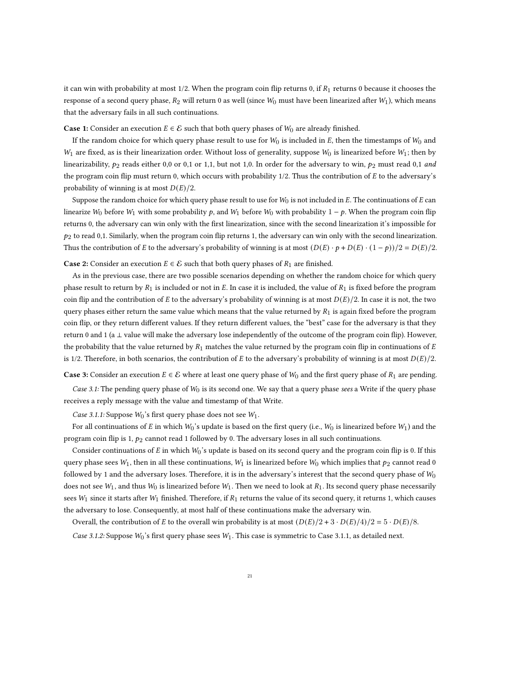it can win with probability at most  $1/2$ . When the program coin flip returns 0, if  $R_1$  returns 0 because it chooses the response of a second query phase,  $R_2$  will return 0 as well (since  $W_0$  must have been linearized after  $W_1$ ), which means that the adversary fails in all such continuations.

**Case 1:** Consider an execution  $E \in \mathcal{E}$  such that both query phases of  $W_0$  are already finished.

If the random choice for which query phase result to use for  $W_0$  is included in E, then the timestamps of  $W_0$  and  $W_1$  are fixed, as is their linearization order. Without loss of generality, suppose  $W_0$  is linearized before  $W_1$ ; then by linearizability,  $p_2$  reads either 0,0 or 0,1 or 1,1, but not 1,0. In order for the adversary to win,  $p_2$  must read 0,1 and the program coin flip must return 0, which occurs with probability  $1/2$ . Thus the contribution of  $E$  to the adversary's probability of winning is at most  $D(E)/2$ .

Suppose the random choice for which query phase result to use for  $W_0$  is not included in E. The continuations of  $E$  can linearize  $W_0$  before  $W_1$  with some probability p, and  $W_1$  before  $W_0$  with probability  $1 - p$ . When the program coin flip returns 0, the adversary can win only with the first linearization, since with the second linearization it's impossible for  $p_2$  to read 0,1. Similarly, when the program coin flip returns 1, the adversary can win only with the second linearization. Thus the contribution of E to the adversary's probability of winning is at most  $(D(E) \cdot p + D(E) \cdot (1 - p))/2 = D(E)/2$ .

**Case 2:** Consider an execution  $E \in \mathcal{E}$  such that both query phases of  $R_1$  are finished.

As in the previous case, there are two possible scenarios depending on whether the random choice for which query phase result to return by  $R_1$  is included or not in E. In case it is included, the value of  $R_1$  is fixed before the program coin flip and the contribution of E to the adversary's probability of winning is at most  $D(E)/2$ . In case it is not, the two query phases either return the same value which means that the value returned by  $R_1$  is again fixed before the program coin flip, or they return different values. If they return different values, the "best" case for the adversary is that they return 0 and 1 (a ⊥ value will make the adversary lose independently of the outcome of the program coin flip). However, the probability that the value returned by  $R_1$  matches the value returned by the program coin flip in continuations of E is 1/2. Therefore, in both scenarios, the contribution of E to the adversary's probability of winning is at most  $D(E)/2$ .

**Case 3:** Consider an execution  $E \in \mathcal{E}$  where at least one query phase of  $W_0$  and the first query phase of  $R_1$  are pending.

Case 3.1: The pending query phase of  $W_0$  is its second one. We say that a query phase sees a Write if the query phase receives a reply message with the value and timestamp of that Write.

Case 3.1.1: Suppose  $W_0$ 's first query phase does not see  $W_1$ .

For all continuations of E in which  $W_0$ 's update is based on the first query (i.e.,  $W_0$  is linearized before  $W_1$ ) and the program coin flip is 1,  $p_2$  cannot read 1 followed by 0. The adversary loses in all such continuations.

Consider continuations of  $E$  in which  $W_0$ 's update is based on its second query and the program coin flip is 0. If this query phase sees  $W_1$ , then in all these continuations,  $W_1$  is linearized before  $W_0$  which implies that  $p_2$  cannot read 0 followed by 1 and the adversary loses. Therefore, it is in the adversary's interest that the second query phase of  $W_0$ does not see  $W_1$ , and thus  $W_0$  is linearized before  $W_1$ . Then we need to look at  $R_1$ . Its second query phase necessarily sees  $W_1$  since it starts after  $W_1$  finished. Therefore, if  $R_1$  returns the value of its second query, it returns 1, which causes the adversary to lose. Consequently, at most half of these continuations make the adversary win.

Overall, the contribution of E to the overall win probability is at most  $(D(E)/2 + 3 \cdot D(E)/4)/2 = 5 \cdot D(E)/8$ .

Case 3.1.2: Suppose  $W_0$ 's first query phase sees  $W_1$ . This case is symmetric to Case 3.1.1, as detailed next.